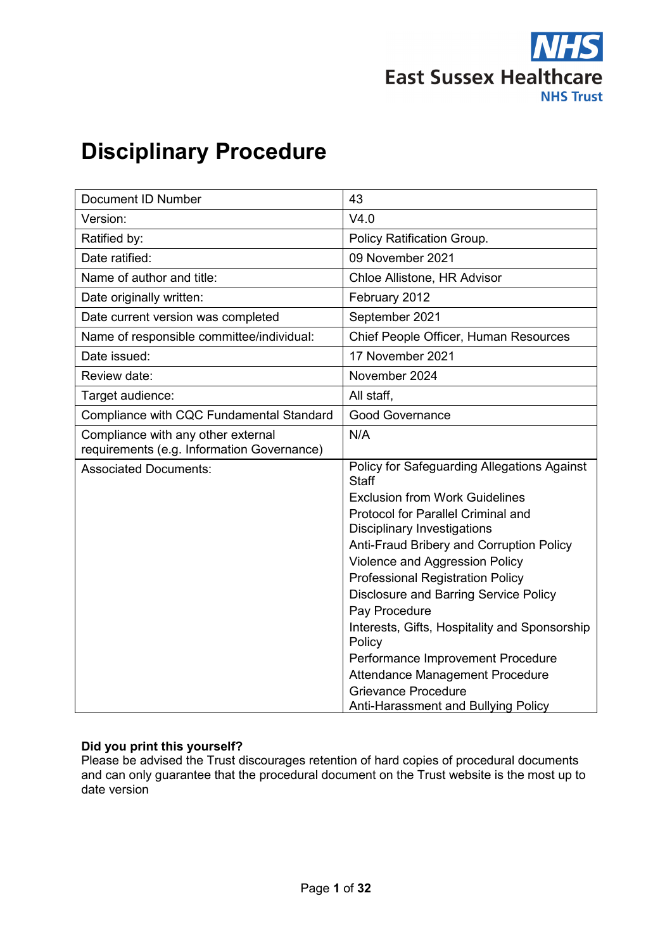

# **Disciplinary Procedure**

| Document ID Number                                                               | 43                                                          |
|----------------------------------------------------------------------------------|-------------------------------------------------------------|
| Version:                                                                         | V4.0                                                        |
| Ratified by:                                                                     | Policy Ratification Group.                                  |
| Date ratified:                                                                   | 09 November 2021                                            |
| Name of author and title:                                                        | Chloe Allistone, HR Advisor                                 |
| Date originally written:                                                         | February 2012                                               |
| Date current version was completed                                               | September 2021                                              |
| Name of responsible committee/individual:                                        | Chief People Officer, Human Resources                       |
| Date issued:                                                                     | 17 November 2021                                            |
| Review date:                                                                     | November 2024                                               |
| Target audience:                                                                 | All staff,                                                  |
| Compliance with CQC Fundamental Standard                                         | <b>Good Governance</b>                                      |
| Compliance with any other external<br>requirements (e.g. Information Governance) | N/A                                                         |
| <b>Associated Documents:</b>                                                     | Policy for Safeguarding Allegations Against<br><b>Staff</b> |
|                                                                                  | <b>Exclusion from Work Guidelines</b>                       |
|                                                                                  | <b>Protocol for Parallel Criminal and</b>                   |
|                                                                                  | <b>Disciplinary Investigations</b>                          |
|                                                                                  | Anti-Fraud Bribery and Corruption Policy                    |
|                                                                                  | Violence and Aggression Policy                              |
|                                                                                  | <b>Professional Registration Policy</b>                     |
|                                                                                  | <b>Disclosure and Barring Service Policy</b>                |
|                                                                                  | Pay Procedure                                               |
|                                                                                  | Interests, Gifts, Hospitality and Sponsorship<br>Policy     |
|                                                                                  | Performance Improvement Procedure                           |
|                                                                                  | <b>Attendance Management Procedure</b>                      |
|                                                                                  | <b>Grievance Procedure</b>                                  |
|                                                                                  | Anti-Harassment and Bullying Policy                         |

# **Did you print this yourself?**

Please be advised the Trust discourages retention of hard copies of procedural documents and can only guarantee that the procedural document on the Trust website is the most up to date version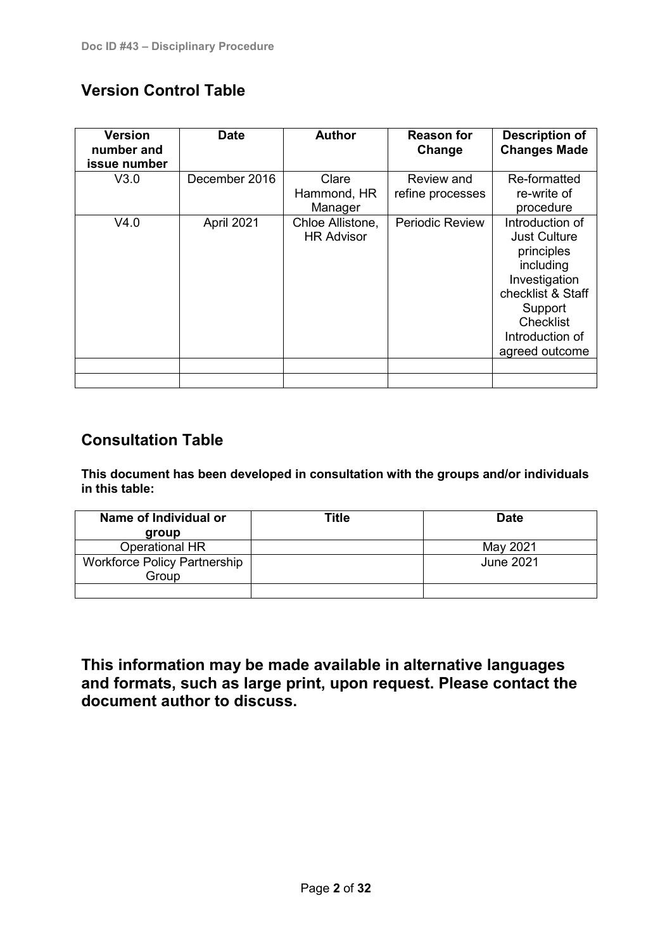# **Version Control Table**

| <b>Version</b><br>number and<br>issue number | <b>Date</b>   | <b>Author</b>                                    | <b>Reason for</b><br>Change    | <b>Description of</b><br><b>Changes Made</b>                                                                                                                                      |
|----------------------------------------------|---------------|--------------------------------------------------|--------------------------------|-----------------------------------------------------------------------------------------------------------------------------------------------------------------------------------|
| V3.0                                         | December 2016 | Clare<br>Hammond, HR                             | Review and<br>refine processes | Re-formatted<br>re-write of                                                                                                                                                       |
| V4.0                                         | April 2021    | Manager<br>Chloe Allistone,<br><b>HR Advisor</b> | <b>Periodic Review</b>         | procedure<br>Introduction of<br><b>Just Culture</b><br>principles<br>including<br>Investigation<br>checklist & Staff<br>Support<br>Checklist<br>Introduction of<br>agreed outcome |
|                                              |               |                                                  |                                |                                                                                                                                                                                   |

# **Consultation Table**

**This document has been developed in consultation with the groups and/or individuals in this table:**

| Name of Individual or               | Title | <b>Date</b> |
|-------------------------------------|-------|-------------|
| group                               |       |             |
| <b>Operational HR</b>               |       | May 2021    |
| <b>Workforce Policy Partnership</b> |       | June 2021   |
| Group                               |       |             |
|                                     |       |             |

**This information may be made available in alternative languages and formats, such as large print, upon request. Please contact the document author to discuss.**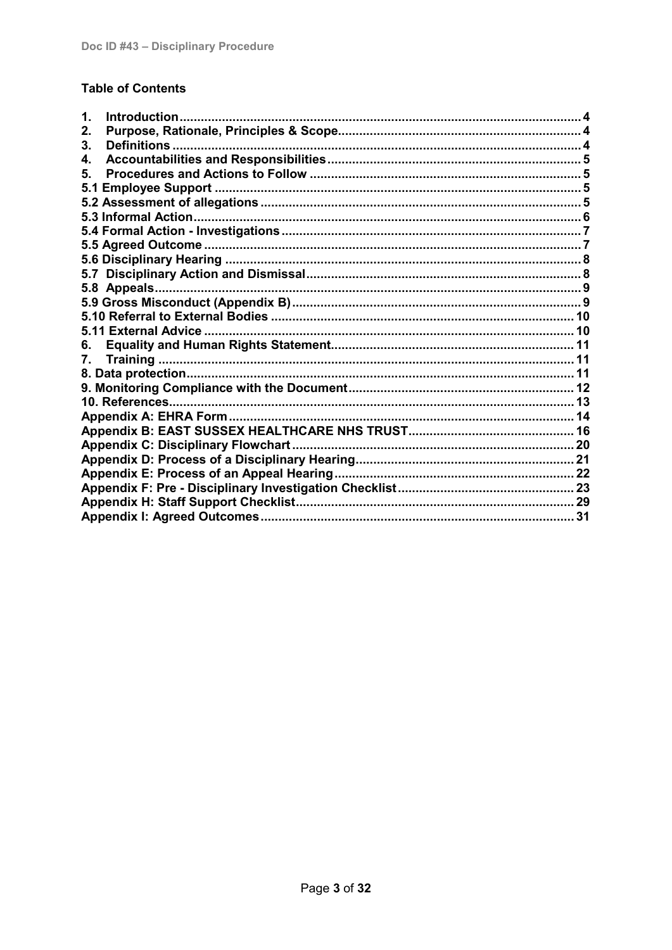# **Table of Contents**

| Introduction<br>1.                         |  |
|--------------------------------------------|--|
| 2.                                         |  |
| 3.                                         |  |
| 4.                                         |  |
| 5.                                         |  |
| 5.1                                        |  |
|                                            |  |
|                                            |  |
|                                            |  |
|                                            |  |
|                                            |  |
|                                            |  |
|                                            |  |
|                                            |  |
|                                            |  |
|                                            |  |
| 6.                                         |  |
| 7.                                         |  |
|                                            |  |
|                                            |  |
|                                            |  |
|                                            |  |
|                                            |  |
| <b>Appendix C: Disciplinary Flowchart.</b> |  |
|                                            |  |
|                                            |  |
|                                            |  |
|                                            |  |
|                                            |  |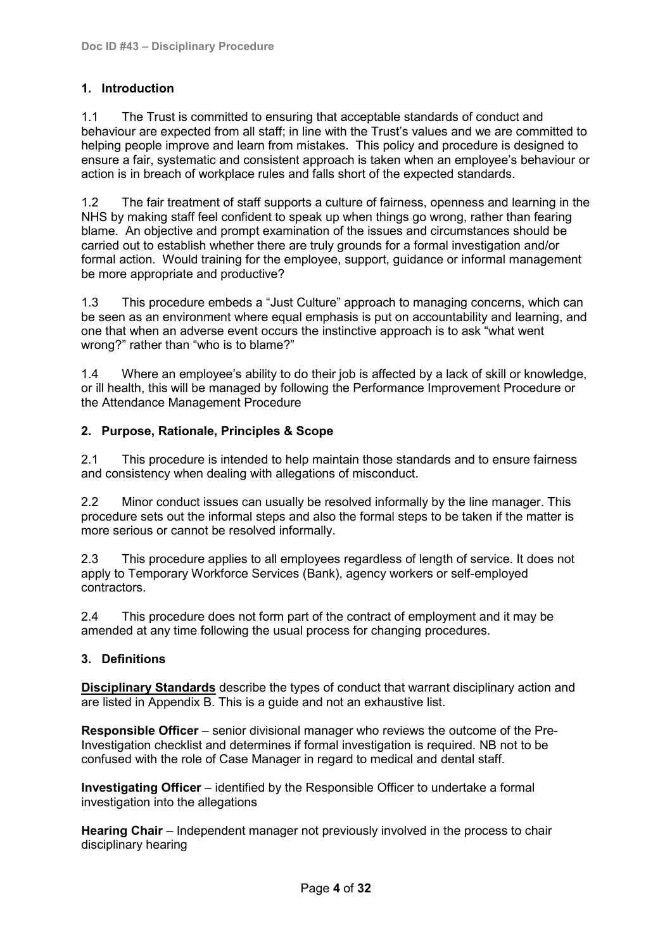# <span id="page-3-0"></span>**1. Introduction**

1.1 The Trust is committed to ensuring that acceptable standards of conduct and behaviour are expected from all staff; in line with the Trust's values and we are committed to helping people improve and learn from mistakes. This policy and procedure is designed to ensure a fair, systematic and consistent approach is taken when an employee's behaviour or action is in breach of workplace rules and falls short of the expected standards.

1.2 The fair treatment of staff supports a culture of fairness, openness and learning in the NHS by making staff feel confident to speak up when things go wrong, rather than fearing blame. An objective and prompt examination of the issues and circumstances should be carried out to establish whether there are truly grounds for a formal investigation and/or formal action. Would training for the employee, support, guidance or informal management be more appropriate and productive?

1.3 This procedure embeds a "Just Culture" approach to managing concerns, which can be seen as an environment where equal emphasis is put on accountability and learning, and one that when an adverse event occurs the instinctive approach is to ask "what went wrong?" rather than "who is to blame?"

1.4 Where an employee's ability to do their job is affected by a lack of skill or knowledge, or ill health, this will be managed by following the Performance Improvement Procedure or the Attendance Management Procedure

# <span id="page-3-1"></span>**2. Purpose, Rationale, Principles & Scope**

2.1 This procedure is intended to help maintain those standards and to ensure fairness and consistency when dealing with allegations of misconduct.

2.2 Minor conduct issues can usually be resolved informally by the line manager. This procedure sets out the informal steps and also the formal steps to be taken if the matter is more serious or cannot be resolved informally.

2.3 This procedure applies to all employees regardless of length of service. It does not apply to Temporary Workforce Services (Bank), agency workers or self-employed contractors.

2.4 This procedure does not form part of the contract of employment and it may be amended at any time following the usual process for changing procedures.

# <span id="page-3-2"></span>**3. Definitions**

**Disciplinary Standards** describe the types of conduct that warrant disciplinary action and are listed in Appendix B. This is a guide and not an exhaustive list.

**Responsible Officer** – senior divisional manager who reviews the outcome of the Pre-Investigation checklist and determines if formal investigation is required. NB not to be confused with the role of Case Manager in regard to medical and dental staff.

**Investigating Officer** – identified by the Responsible Officer to undertake a formal investigation into the allegations

**Hearing Chair** – Independent manager not previously involved in the process to chair disciplinary hearing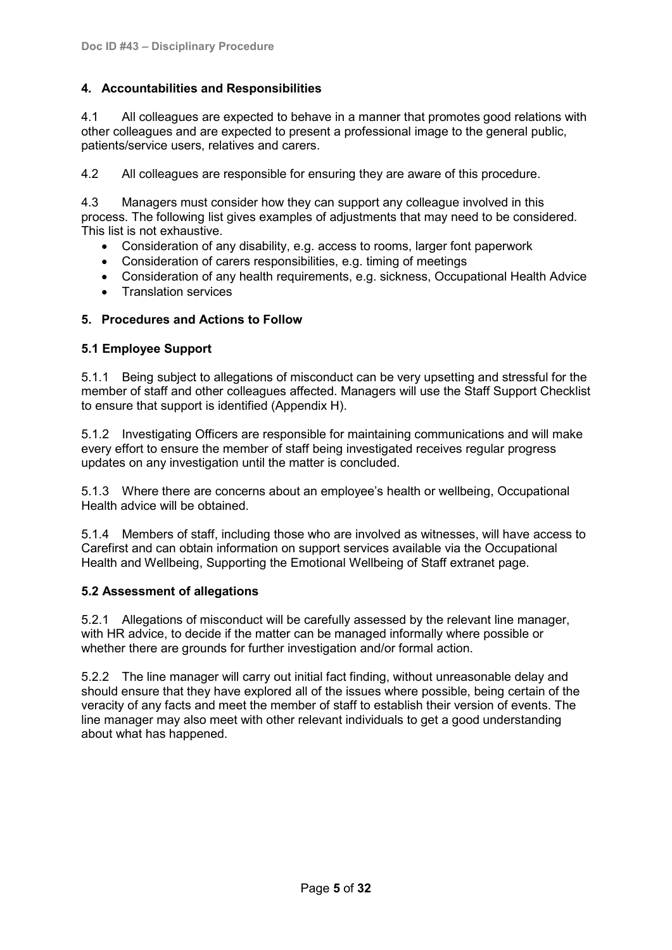# <span id="page-4-0"></span>**4. Accountabilities and Responsibilities**

4.1 All colleagues are expected to behave in a manner that promotes good relations with other colleagues and are expected to present a professional image to the general public, patients/service users, relatives and carers.

4.2 All colleagues are responsible for ensuring they are aware of this procedure.

4.3 Managers must consider how they can support any colleague involved in this process. The following list gives examples of adjustments that may need to be considered. This list is not exhaustive.

- Consideration of any disability, e.g. access to rooms, larger font paperwork
- Consideration of carers responsibilities, e.g. timing of meetings
- Consideration of any health requirements, e.g. sickness, Occupational Health Advice
- Translation services

# <span id="page-4-1"></span>**5. Procedures and Actions to Follow**

# <span id="page-4-2"></span>**5.1 Employee Support**

5.1.1 Being subject to allegations of misconduct can be very upsetting and stressful for the member of staff and other colleagues affected. Managers will use the Staff Support Checklist to ensure that support is identified (Appendix H).

5.1.2 Investigating Officers are responsible for maintaining communications and will make every effort to ensure the member of staff being investigated receives regular progress updates on any investigation until the matter is concluded.

5.1.3 Where there are concerns about an employee's health or wellbeing, Occupational Health advice will be obtained.

5.1.4 Members of staff, including those who are involved as witnesses, will have access to Carefirst and can obtain information on support services available via the Occupational Health and Wellbeing, Supporting the Emotional Wellbeing of Staff extranet page.

# <span id="page-4-3"></span>**5.2 Assessment of allegations**

5.2.1 Allegations of misconduct will be carefully assessed by the relevant line manager, with HR advice, to decide if the matter can be managed informally where possible or whether there are grounds for further investigation and/or formal action.

5.2.2 The line manager will carry out initial fact finding, without unreasonable delay and should ensure that they have explored all of the issues where possible, being certain of the veracity of any facts and meet the member of staff to establish their version of events. The line manager may also meet with other relevant individuals to get a good understanding about what has happened.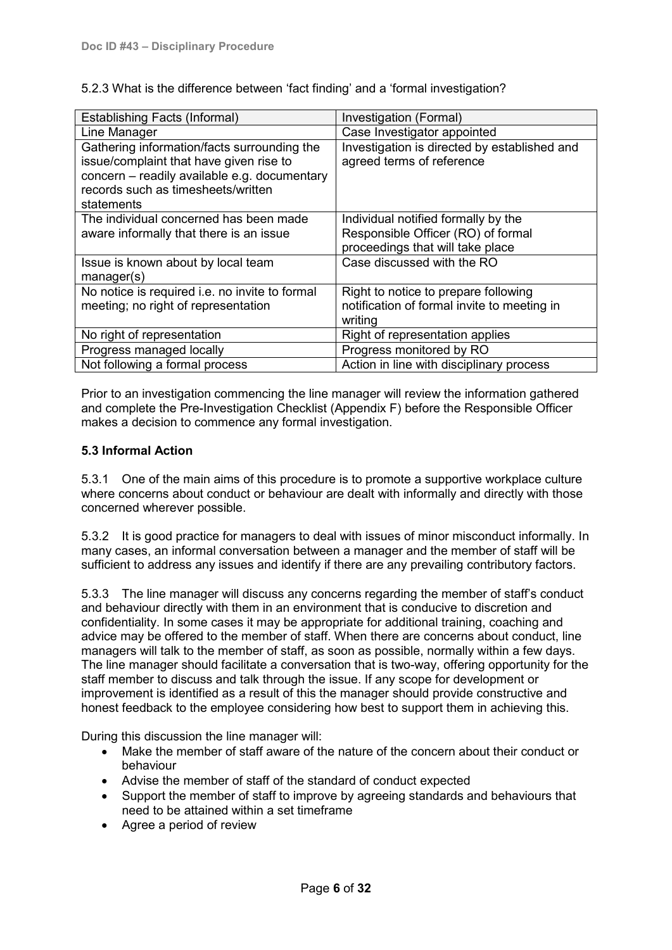5.2.3 What is the difference between 'fact finding' and a 'formal investigation?

| <b>Establishing Facts (Informal)</b>                                                                                                                                                       | Investigation (Formal)                                                                                        |
|--------------------------------------------------------------------------------------------------------------------------------------------------------------------------------------------|---------------------------------------------------------------------------------------------------------------|
| Line Manager                                                                                                                                                                               | Case Investigator appointed                                                                                   |
| Gathering information/facts surrounding the<br>issue/complaint that have given rise to<br>concern - readily available e.g. documentary<br>records such as timesheets/written<br>statements | Investigation is directed by established and<br>agreed terms of reference                                     |
| The individual concerned has been made<br>aware informally that there is an issue                                                                                                          | Individual notified formally by the<br>Responsible Officer (RO) of formal<br>proceedings that will take place |
| Issue is known about by local team<br>manager(s)                                                                                                                                           | Case discussed with the RO                                                                                    |
| No notice is required i.e. no invite to formal<br>meeting; no right of representation                                                                                                      | Right to notice to prepare following<br>notification of formal invite to meeting in<br>writing                |
| No right of representation                                                                                                                                                                 | Right of representation applies                                                                               |
| Progress managed locally                                                                                                                                                                   | Progress monitored by RO                                                                                      |
| Not following a formal process                                                                                                                                                             | Action in line with disciplinary process                                                                      |

Prior to an investigation commencing the line manager will review the information gathered and complete the Pre-Investigation Checklist (Appendix F) before the Responsible Officer makes a decision to commence any formal investigation.

# <span id="page-5-0"></span>**5.3 Informal Action**

5.3.1 One of the main aims of this procedure is to promote a supportive workplace culture where concerns about conduct or behaviour are dealt with informally and directly with those concerned wherever possible.

5.3.2 It is good practice for managers to deal with issues of minor misconduct informally. In many cases, an informal conversation between a manager and the member of staff will be sufficient to address any issues and identify if there are any prevailing contributory factors.

5.3.3 The line manager will discuss any concerns regarding the member of staff's conduct and behaviour directly with them in an environment that is conducive to discretion and confidentiality. In some cases it may be appropriate for additional training, coaching and advice may be offered to the member of staff. When there are concerns about conduct, line managers will talk to the member of staff, as soon as possible, normally within a few days. The line manager should facilitate a conversation that is two-way, offering opportunity for the staff member to discuss and talk through the issue. If any scope for development or improvement is identified as a result of this the manager should provide constructive and honest feedback to the employee considering how best to support them in achieving this.

During this discussion the line manager will:

- Make the member of staff aware of the nature of the concern about their conduct or behaviour
- Advise the member of staff of the standard of conduct expected
- Support the member of staff to improve by agreeing standards and behaviours that need to be attained within a set timeframe
- Agree a period of review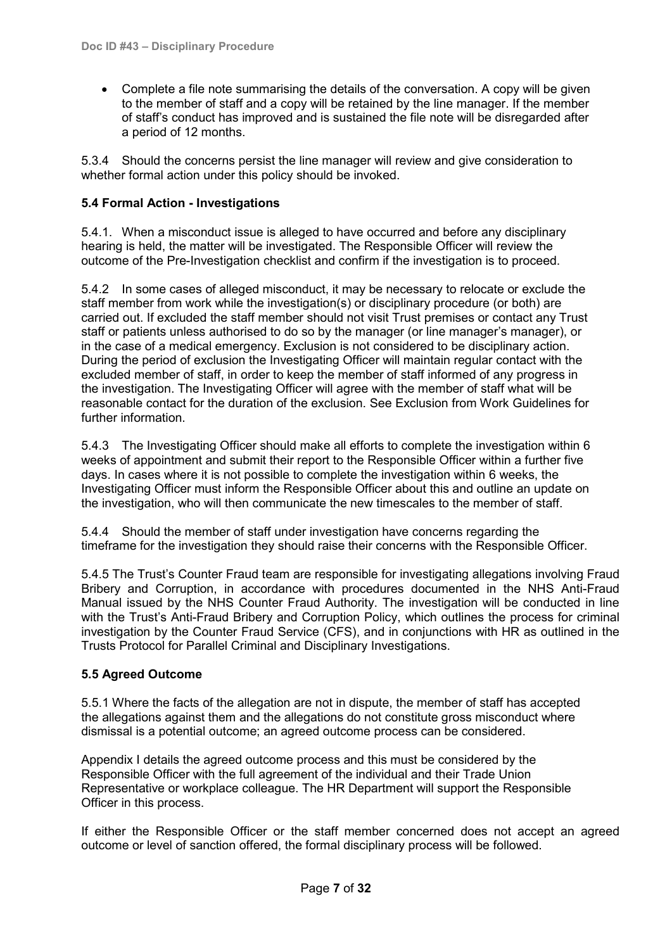• Complete a file note summarising the details of the conversation. A copy will be given to the member of staff and a copy will be retained by the line manager. If the member of staff's conduct has improved and is sustained the file note will be disregarded after a period of 12 months.

5.3.4 Should the concerns persist the line manager will review and give consideration to whether formal action under this policy should be invoked.

# <span id="page-6-0"></span>**5.4 Formal Action - Investigations**

5.4.1. When a misconduct issue is alleged to have occurred and before any disciplinary hearing is held, the matter will be investigated. The Responsible Officer will review the outcome of the Pre-Investigation checklist and confirm if the investigation is to proceed.

5.4.2 In some cases of alleged misconduct, it may be necessary to relocate or exclude the staff member from work while the investigation(s) or disciplinary procedure (or both) are carried out. If excluded the staff member should not visit Trust premises or contact any Trust staff or patients unless authorised to do so by the manager (or line manager's manager), or in the case of a medical emergency. Exclusion is not considered to be disciplinary action. During the period of exclusion the Investigating Officer will maintain regular contact with the excluded member of staff, in order to keep the member of staff informed of any progress in the investigation. The Investigating Officer will agree with the member of staff what will be reasonable contact for the duration of the exclusion. See Exclusion from Work Guidelines for further information.

5.4.3 The Investigating Officer should make all efforts to complete the investigation within 6 weeks of appointment and submit their report to the Responsible Officer within a further five days. In cases where it is not possible to complete the investigation within 6 weeks, the Investigating Officer must inform the Responsible Officer about this and outline an update on the investigation, who will then communicate the new timescales to the member of staff.

5.4.4 Should the member of staff under investigation have concerns regarding the timeframe for the investigation they should raise their concerns with the Responsible Officer.

5.4.5 The Trust's Counter Fraud team are responsible for investigating allegations involving Fraud Bribery and Corruption, in accordance with procedures documented in the NHS Anti-Fraud Manual issued by the NHS Counter Fraud Authority. The investigation will be conducted in line with the Trust's Anti-Fraud Bribery and Corruption Policy, which outlines the process for criminal investigation by the Counter Fraud Service (CFS), and in conjunctions with HR as outlined in the Trusts Protocol for Parallel Criminal and Disciplinary Investigations.

# <span id="page-6-1"></span>**5.5 Agreed Outcome**

5.5.1 Where the facts of the allegation are not in dispute, the member of staff has accepted the allegations against them and the allegations do not constitute gross misconduct where dismissal is a potential outcome; an agreed outcome process can be considered.

Appendix I details the agreed outcome process and this must be considered by the Responsible Officer with the full agreement of the individual and their Trade Union Representative or workplace colleague. The HR Department will support the Responsible Officer in this process.

If either the Responsible Officer or the staff member concerned does not accept an agreed outcome or level of sanction offered, the formal disciplinary process will be followed.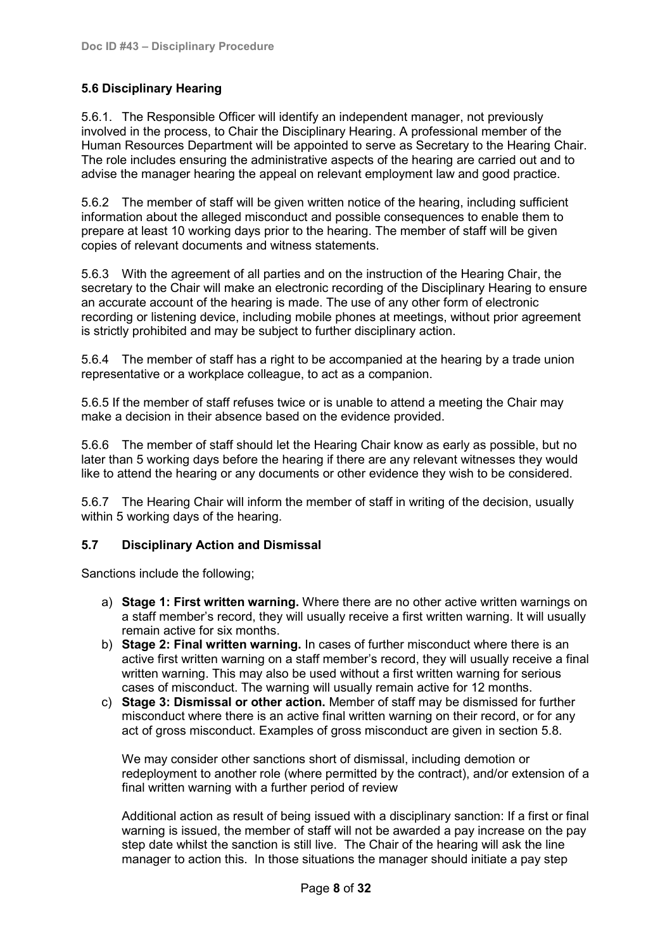# <span id="page-7-0"></span>**5.6 Disciplinary Hearing**

5.6.1. The Responsible Officer will identify an independent manager, not previously involved in the process, to Chair the Disciplinary Hearing. A professional member of the Human Resources Department will be appointed to serve as Secretary to the Hearing Chair. The role includes ensuring the administrative aspects of the hearing are carried out and to advise the manager hearing the appeal on relevant employment law and good practice.

5.6.2 The member of staff will be given written notice of the hearing, including sufficient information about the alleged misconduct and possible consequences to enable them to prepare at least 10 working days prior to the hearing. The member of staff will be given copies of relevant documents and witness statements.

5.6.3 With the agreement of all parties and on the instruction of the Hearing Chair, the secretary to the Chair will make an electronic recording of the Disciplinary Hearing to ensure an accurate account of the hearing is made. The use of any other form of electronic recording or listening device, including mobile phones at meetings, without prior agreement is strictly prohibited and may be subject to further disciplinary action.

5.6.4 The member of staff has a right to be accompanied at the hearing by a trade union representative or a workplace colleague, to act as a companion.

5.6.5 If the member of staff refuses twice or is unable to attend a meeting the Chair may make a decision in their absence based on the evidence provided.

5.6.6 The member of staff should let the Hearing Chair know as early as possible, but no later than 5 working days before the hearing if there are any relevant witnesses they would like to attend the hearing or any documents or other evidence they wish to be considered.

5.6.7 The Hearing Chair will inform the member of staff in writing of the decision, usually within 5 working days of the hearing.

# <span id="page-7-1"></span>**5.7 Disciplinary Action and Dismissal**

Sanctions include the following;

- a) **Stage 1: First written warning.** Where there are no other active written warnings on a staff member's record, they will usually receive a first written warning. It will usually remain active for six months.
- b) **Stage 2: Final written warning.** In cases of further misconduct where there is an active first written warning on a staff member's record, they will usually receive a final written warning. This may also be used without a first written warning for serious cases of misconduct. The warning will usually remain active for 12 months.
- c) **Stage 3: Dismissal or other action.** Member of staff may be dismissed for further misconduct where there is an active final written warning on their record, or for any act of gross misconduct. Examples of gross misconduct are given in section 5.8.

We may consider other sanctions short of dismissal, including demotion or redeployment to another role (where permitted by the contract), and/or extension of a final written warning with a further period of review

Additional action as result of being issued with a disciplinary sanction: If a first or final warning is issued, the member of staff will not be awarded a pay increase on the pay step date whilst the sanction is still live. The Chair of the hearing will ask the line manager to action this. In those situations the manager should initiate a pay step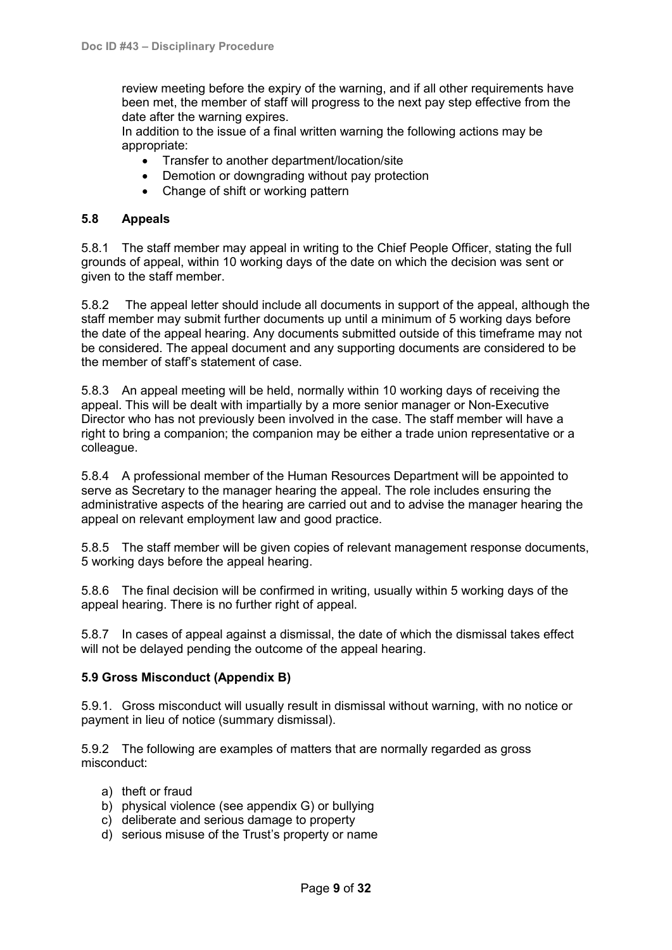review meeting before the expiry of the warning, and if all other requirements have been met, the member of staff will progress to the next pay step effective from the date after the warning expires.

In addition to the issue of a final written warning the following actions may be appropriate:

- Transfer to another department/location/site
- Demotion or downgrading without pay protection
- Change of shift or working pattern

# <span id="page-8-0"></span>**5.8 Appeals**

5.8.1 The staff member may appeal in writing to the Chief People Officer, stating the full grounds of appeal, within 10 working days of the date on which the decision was sent or given to the staff member.

5.8.2 The appeal letter should include all documents in support of the appeal, although the staff member may submit further documents up until a minimum of 5 working days before the date of the appeal hearing. Any documents submitted outside of this timeframe may not be considered. The appeal document and any supporting documents are considered to be the member of staff's statement of case.

5.8.3 An appeal meeting will be held, normally within 10 working days of receiving the appeal. This will be dealt with impartially by a more senior manager or Non-Executive Director who has not previously been involved in the case. The staff member will have a right to bring a companion; the companion may be either a trade union representative or a colleague.

5.8.4 A professional member of the Human Resources Department will be appointed to serve as Secretary to the manager hearing the appeal. The role includes ensuring the administrative aspects of the hearing are carried out and to advise the manager hearing the appeal on relevant employment law and good practice.

5.8.5 The staff member will be given copies of relevant management response documents, 5 working days before the appeal hearing.

5.8.6 The final decision will be confirmed in writing, usually within 5 working days of the appeal hearing. There is no further right of appeal.

5.8.7 In cases of appeal against a dismissal, the date of which the dismissal takes effect will not be delayed pending the outcome of the appeal hearing.

# <span id="page-8-1"></span>**5.9 Gross Misconduct (Appendix B)**

5.9.1. Gross misconduct will usually result in dismissal without warning, with no notice or payment in lieu of notice (summary dismissal).

5.9.2 The following are examples of matters that are normally regarded as gross misconduct:

- a) theft or fraud
- b) physical violence (see appendix G) or bullying
- c) deliberate and serious damage to property
- d) serious misuse of the Trust's property or name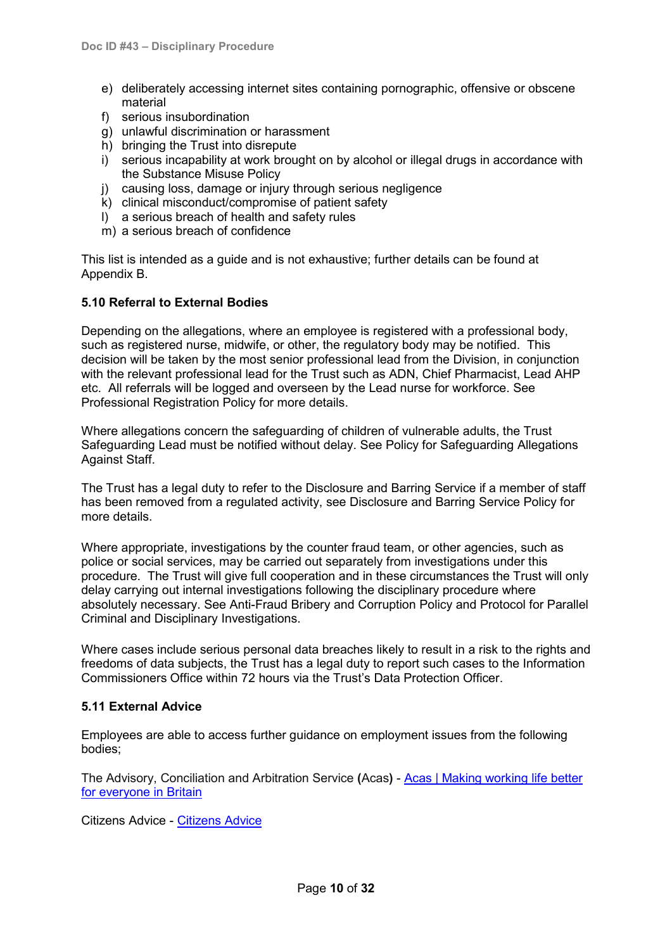- e) deliberately accessing internet sites containing pornographic, offensive or obscene material
- f) serious insubordination
- g) unlawful discrimination or harassment
- h) bringing the Trust into disrepute
- i) serious incapability at work brought on by alcohol or illegal drugs in accordance with the Substance Misuse Policy
- j) causing loss, damage or injury through serious negligence
- k) clinical misconduct/compromise of patient safety
- l) a serious breach of health and safety rules
- m) a serious breach of confidence

This list is intended as a guide and is not exhaustive; further details can be found at Appendix B.

#### <span id="page-9-0"></span>**5.10 Referral to External Bodies**

Depending on the allegations, where an employee is registered with a professional body, such as registered nurse, midwife, or other, the regulatory body may be notified. This decision will be taken by the most senior professional lead from the Division, in conjunction with the relevant professional lead for the Trust such as ADN, Chief Pharmacist, Lead AHP etc. All referrals will be logged and overseen by the Lead nurse for workforce. See Professional Registration Policy for more details.

Where allegations concern the safeguarding of children of vulnerable adults, the Trust Safeguarding Lead must be notified without delay. See Policy for Safeguarding Allegations Against Staff.

The Trust has a legal duty to refer to the Disclosure and Barring Service if a member of staff has been removed from a regulated activity, see Disclosure and Barring Service Policy for more details.

Where appropriate, investigations by the counter fraud team, or other agencies, such as police or social services, may be carried out separately from investigations under this procedure. The Trust will give full cooperation and in these circumstances the Trust will only delay carrying out internal investigations following the disciplinary procedure where absolutely necessary. See Anti-Fraud Bribery and Corruption Policy and Protocol for Parallel Criminal and Disciplinary Investigations.

Where cases include serious personal data breaches likely to result in a risk to the rights and freedoms of data subjects, the Trust has a legal duty to report such cases to the Information Commissioners Office within 72 hours via the Trust's Data Protection Officer.

#### <span id="page-9-1"></span>**5.11 External Advice**

Employees are able to access further guidance on employment issues from the following bodies;

The Advisory, Conciliation and Arbitration Service **(**Acas**)** - [Acas | Making working life better](https://www.acas.org.uk/)  [for everyone in Britain](https://www.acas.org.uk/)

Citizens Advice - [Citizens Advice](https://www.citizensadvice.org.uk/)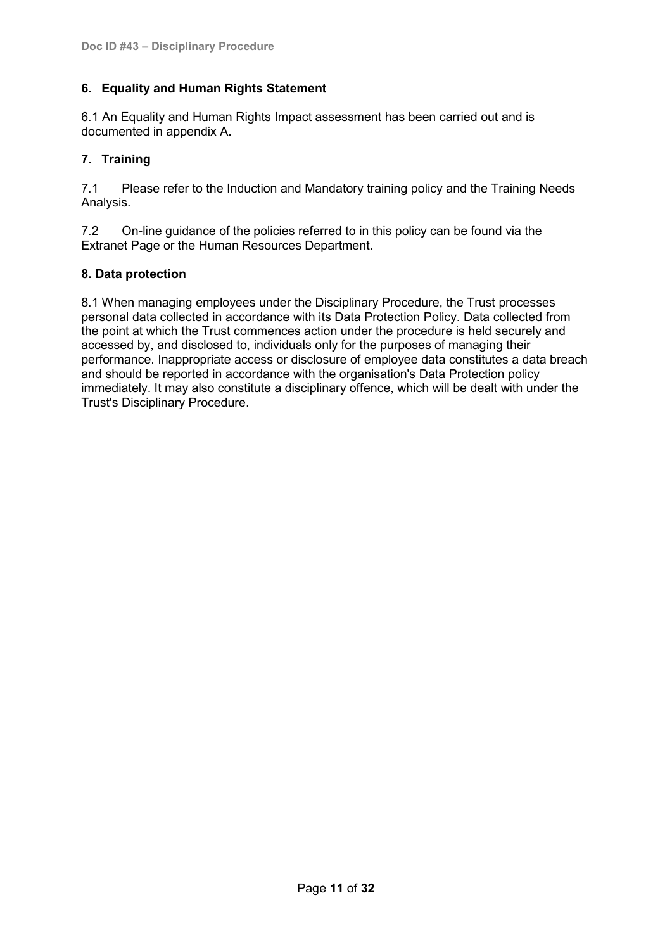# <span id="page-10-0"></span>**6. Equality and Human Rights Statement**

6.1 An Equality and Human Rights Impact assessment has been carried out and is documented in appendix A.

# <span id="page-10-1"></span>**7. Training**

7.1 Please refer to the Induction and Mandatory training policy and the Training Needs Analysis.

7.2 On-line guidance of the policies referred to in this policy can be found via the Extranet Page or the Human Resources Department.

# <span id="page-10-2"></span>**8. Data protection**

8.1 When managing employees under the Disciplinary Procedure, the Trust processes personal data collected in accordance with its Data Protection Policy. Data collected from the point at which the Trust commences action under the procedure is held securely and accessed by, and disclosed to, individuals only for the purposes of managing their performance. Inappropriate access or disclosure of employee data constitutes a data breach and should be reported in accordance with the organisation's Data Protection policy immediately. It may also constitute a disciplinary offence, which will be dealt with under the Trust's Disciplinary Procedure.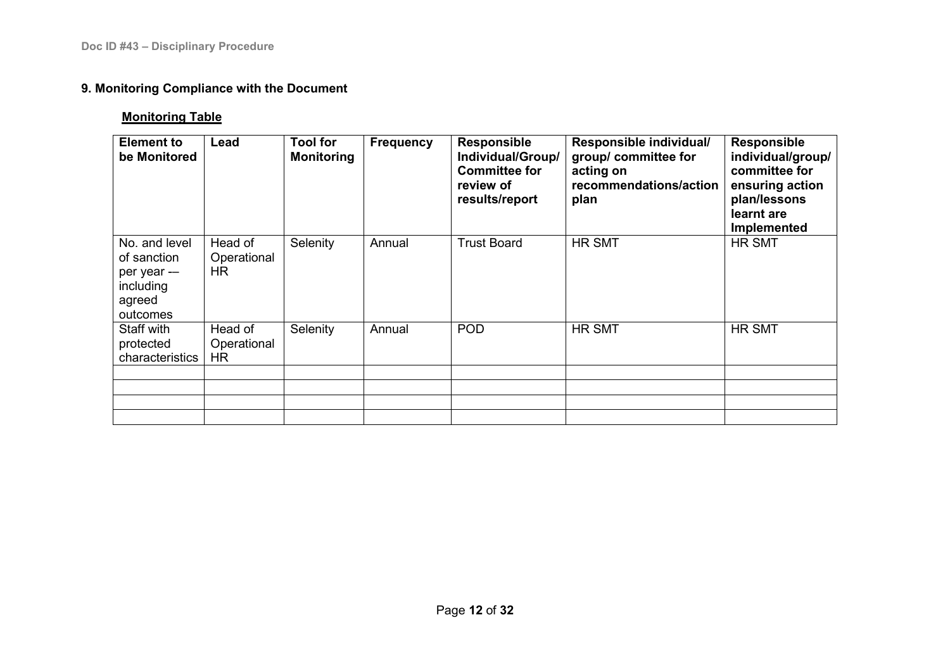# **9. Monitoring Compliance with the Document**

# **Monitoring Table**

<span id="page-11-0"></span>

| <b>Element to</b><br>be Monitored                                              | Lead                          | <b>Tool for</b><br><b>Monitoring</b> | <b>Frequency</b> | <b>Responsible</b><br>Individual/Group/<br><b>Committee for</b><br>review of<br>results/report | Responsible individual/<br>group/ committee for<br>acting on<br>recommendations/action<br>plan | <b>Responsible</b><br>individual/group/<br>committee for<br>ensuring action<br>plan/lessons<br>learnt are<br>Implemented |
|--------------------------------------------------------------------------------|-------------------------------|--------------------------------------|------------------|------------------------------------------------------------------------------------------------|------------------------------------------------------------------------------------------------|--------------------------------------------------------------------------------------------------------------------------|
| No. and level<br>of sanction<br>per year --<br>including<br>agreed<br>outcomes | Head of<br>Operational<br>HR. | Selenity                             | Annual           | <b>Trust Board</b>                                                                             | <b>HR SMT</b>                                                                                  | <b>HR SMT</b>                                                                                                            |
| Staff with<br>protected<br>characteristics                                     | Head of<br>Operational<br>HR. | Selenity                             | Annual           | <b>POD</b>                                                                                     | <b>HR SMT</b>                                                                                  | <b>HR SMT</b>                                                                                                            |
|                                                                                |                               |                                      |                  |                                                                                                |                                                                                                |                                                                                                                          |
|                                                                                |                               |                                      |                  |                                                                                                |                                                                                                |                                                                                                                          |
|                                                                                |                               |                                      |                  |                                                                                                |                                                                                                |                                                                                                                          |
|                                                                                |                               |                                      |                  |                                                                                                |                                                                                                |                                                                                                                          |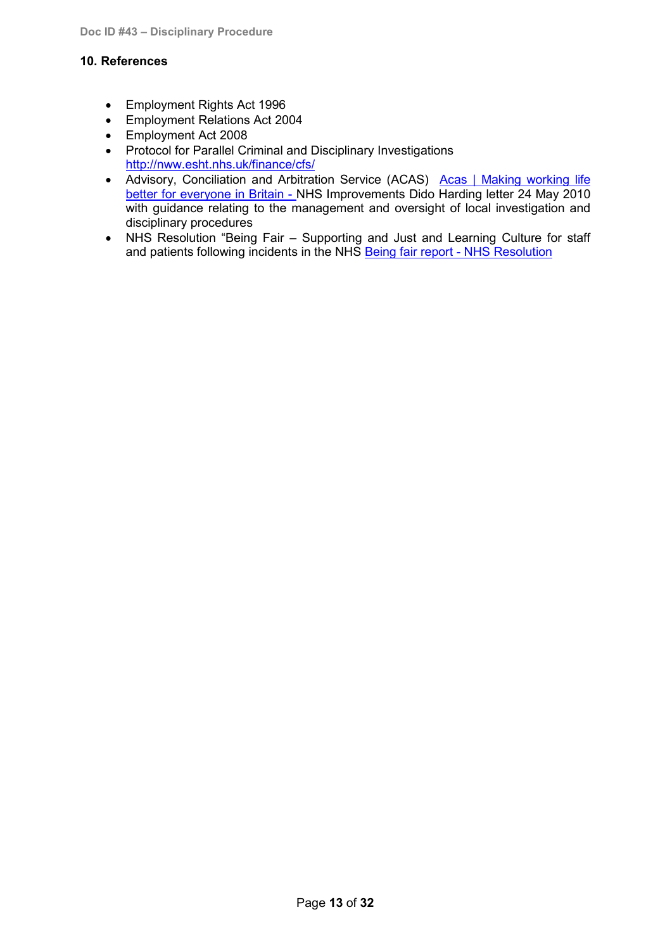# <span id="page-12-0"></span>**10. References**

- Employment Rights Act 1996
- Employment Relations Act 2004
- Employment Act 2008
- Protocol for Parallel Criminal and Disciplinary Investigations <http://nww.esht.nhs.uk/finance/cfs/>
- Advisory, Conciliation and Arbitration Service (ACAS) Acas | Making working life [better for everyone in Britain](https://www.acas.org.uk/) - NHS Improvements Dido Harding letter 24 May 2010 with guidance relating to the management and oversight of local investigation and disciplinary procedures
- NHS Resolution "Being Fair Supporting and Just and Learning Culture for staff and patients following incidents in the NHS [Being fair report -](https://resolution.nhs.uk/resources/being-fair-report/) NHS Resolution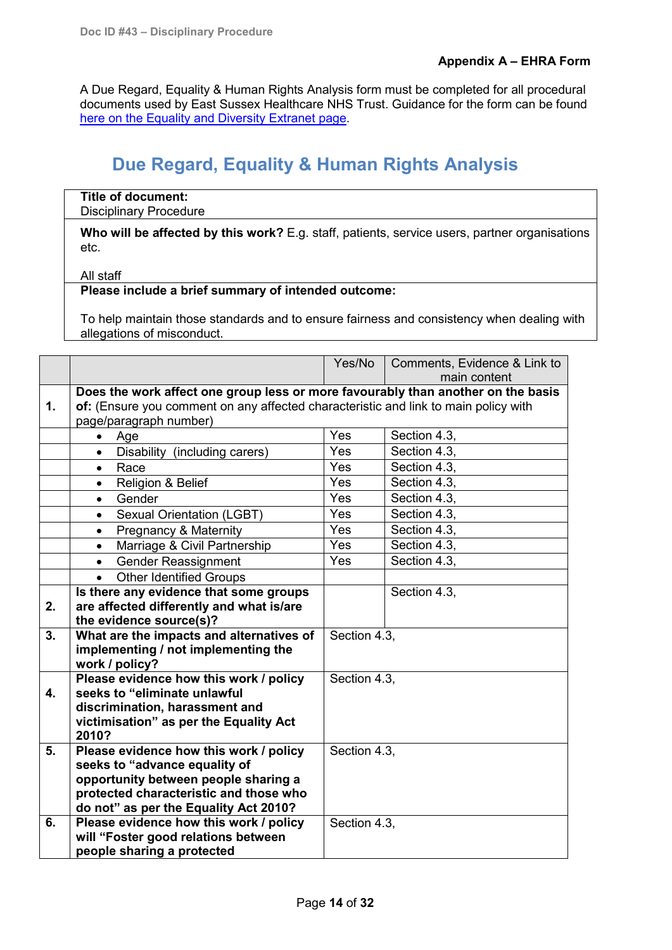<span id="page-13-0"></span>A Due Regard, Equality & Human Rights Analysis form must be completed for all procedural documents used by East Sussex Healthcare NHS Trust. Guidance for the form can be found [here on the Equality and Diversity Extranet page.](http://nww.esht.nhs.uk/wp-content/uploads/2012/05/Due-Regard-Equality-and-Human-Rights-Analysis.doc)

# **Due Regard, Equality & Human Rights Analysis**

#### **Title of document:** Disciplinary Procedure

Who will be affected by this work? E.g. staff, patients, service users, partner organisations etc.

#### All staff

# **Please include a brief summary of intended outcome:**

To help maintain those standards and to ensure fairness and consistency when dealing with allegations of misconduct.

|                |                                                                                     | Yes/No       | Comments, Evidence & Link to<br>main content |  |  |  |  |
|----------------|-------------------------------------------------------------------------------------|--------------|----------------------------------------------|--|--|--|--|
|                | Does the work affect one group less or more favourably than another on the basis    |              |                                              |  |  |  |  |
| $\mathbf{1}$ . | of: (Ensure you comment on any affected characteristic and link to main policy with |              |                                              |  |  |  |  |
|                | page/paragraph number)                                                              |              |                                              |  |  |  |  |
|                | Age<br>$\bullet$                                                                    | Yes          | Section 4.3,                                 |  |  |  |  |
|                | Disability (including carers)<br>$\bullet$                                          | <b>Yes</b>   | Section 4.3,                                 |  |  |  |  |
|                | Race<br>$\bullet$                                                                   | <b>Yes</b>   | Section 4.3.                                 |  |  |  |  |
|                | Religion & Belief<br>$\bullet$                                                      | Yes          | Section 4.3.                                 |  |  |  |  |
|                | Gender<br>$\bullet$                                                                 | <b>Yes</b>   | Section 4.3,                                 |  |  |  |  |
|                | <b>Sexual Orientation (LGBT)</b><br>$\bullet$                                       | Yes          | Section 4.3,                                 |  |  |  |  |
|                | <b>Pregnancy &amp; Maternity</b><br>$\bullet$                                       | Yes          | Section 4.3.                                 |  |  |  |  |
|                | Marriage & Civil Partnership<br>$\bullet$                                           | <b>Yes</b>   | Section 4.3.                                 |  |  |  |  |
|                | <b>Gender Reassignment</b><br>$\bullet$                                             | <b>Yes</b>   | Section 4.3.                                 |  |  |  |  |
|                | <b>Other Identified Groups</b>                                                      |              |                                              |  |  |  |  |
|                | Is there any evidence that some groups                                              |              | Section 4.3,                                 |  |  |  |  |
| 2.             | are affected differently and what is/are                                            |              |                                              |  |  |  |  |
|                | the evidence source(s)?                                                             |              |                                              |  |  |  |  |
| 3.             | What are the impacts and alternatives of                                            | Section 4.3, |                                              |  |  |  |  |
|                | implementing / not implementing the                                                 |              |                                              |  |  |  |  |
|                | work / policy?<br>Please evidence how this work / policy                            | Section 4.3, |                                              |  |  |  |  |
| 4.             | seeks to "eliminate unlawful                                                        |              |                                              |  |  |  |  |
|                | discrimination, harassment and                                                      |              |                                              |  |  |  |  |
|                | victimisation" as per the Equality Act                                              |              |                                              |  |  |  |  |
|                | 2010?                                                                               |              |                                              |  |  |  |  |
| 5.             | Please evidence how this work / policy                                              | Section 4.3, |                                              |  |  |  |  |
|                | seeks to "advance equality of                                                       |              |                                              |  |  |  |  |
|                | opportunity between people sharing a                                                |              |                                              |  |  |  |  |
|                | protected characteristic and those who                                              |              |                                              |  |  |  |  |
|                | do not" as per the Equality Act 2010?                                               |              |                                              |  |  |  |  |
| 6.             | Please evidence how this work / policy                                              | Section 4.3, |                                              |  |  |  |  |
|                | will "Foster good relations between                                                 |              |                                              |  |  |  |  |
|                | people sharing a protected                                                          |              |                                              |  |  |  |  |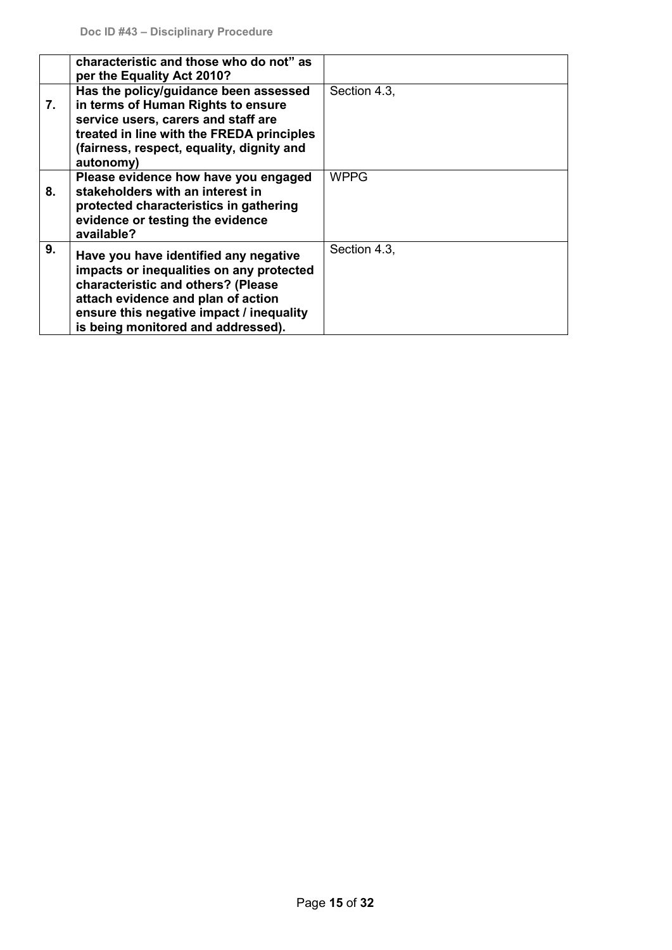|    | characteristic and those who do not" as<br>per the Equality Act 2010?                                                                                                                                                                           |              |
|----|-------------------------------------------------------------------------------------------------------------------------------------------------------------------------------------------------------------------------------------------------|--------------|
| 7. | Has the policy/guidance been assessed<br>in terms of Human Rights to ensure<br>service users, carers and staff are<br>treated in line with the FREDA principles<br>(fairness, respect, equality, dignity and<br>autonomy)                       | Section 4.3. |
| 8. | Please evidence how have you engaged<br>stakeholders with an interest in<br>protected characteristics in gathering<br>evidence or testing the evidence<br>available?                                                                            | <b>WPPG</b>  |
| 9. | Have you have identified any negative<br>impacts or inequalities on any protected<br>characteristic and others? (Please<br>attach evidence and plan of action<br>ensure this negative impact / inequality<br>is being monitored and addressed). | Section 4.3. |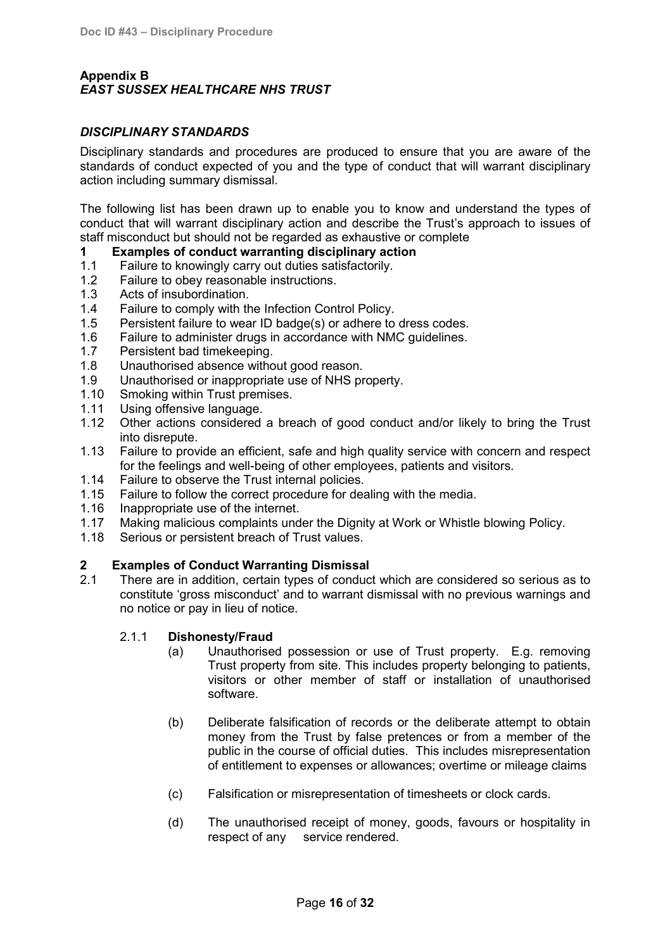# <span id="page-15-0"></span>**Appendix B** *EAST SUSSEX HEALTHCARE NHS TRUST*

### *DISCIPLINARY STANDARDS*

Disciplinary standards and procedures are produced to ensure that you are aware of the standards of conduct expected of you and the type of conduct that will warrant disciplinary action including summary dismissal.

The following list has been drawn up to enable you to know and understand the types of conduct that will warrant disciplinary action and describe the Trust's approach to issues of staff misconduct but should not be regarded as exhaustive or complete

- **1 Examples of conduct warranting disciplinary action**
- 1.1 Failure to knowingly carry out duties satisfactorily.<br>1.2 Failure to obey reasonable instructions
- Failure to obey reasonable instructions.
- 1.3 Acts of insubordination.
- 1.4 Failure to comply with the Infection Control Policy.
- 1.5 Persistent failure to wear ID badge(s) or adhere to dress codes.
- 1.6 Failure to administer drugs in accordance with NMC guidelines.
- 1.7 Persistent bad timekeeping.
- 1.8 Unauthorised absence without good reason.<br>1.9 Unauthorised or inappropriate use of NHS pr
- 1.9 Unauthorised or inappropriate use of NHS property.<br>1.10 Smoking within Trust premises
- Smoking within Trust premises.
- 1.11 Using offensive language.
- 1.12 Other actions considered a breach of good conduct and/or likely to bring the Trust into disrepute.
- 1.13 Failure to provide an efficient, safe and high quality service with concern and respect for the feelings and well-being of other employees, patients and visitors.
- 1.14 Failure to observe the Trust internal policies.
- 1.15 Failure to follow the correct procedure for dealing with the media.
- 1.16 Inappropriate use of the internet.
- 1.17 Making malicious complaints under the Dignity at Work or Whistle blowing Policy.
- 1.18 Serious or persistent breach of Trust values.

# **2 Examples of Conduct Warranting Dismissal**

2.1 There are in addition, certain types of conduct which are considered so serious as to constitute 'gross misconduct' and to warrant dismissal with no previous warnings and no notice or pay in lieu of notice.

#### 2.1.1 **Dishonesty/Fraud**

- (a) Unauthorised possession or use of Trust property. E.g. removing Trust property from site. This includes property belonging to patients, visitors or other member of staff or installation of unauthorised software.
- (b) Deliberate falsification of records or the deliberate attempt to obtain money from the Trust by false pretences or from a member of the public in the course of official duties. This includes misrepresentation of entitlement to expenses or allowances; overtime or mileage claims
- (c) Falsification or misrepresentation of timesheets or clock cards.
- (d) The unauthorised receipt of money, goods, favours or hospitality in respect of any service rendered.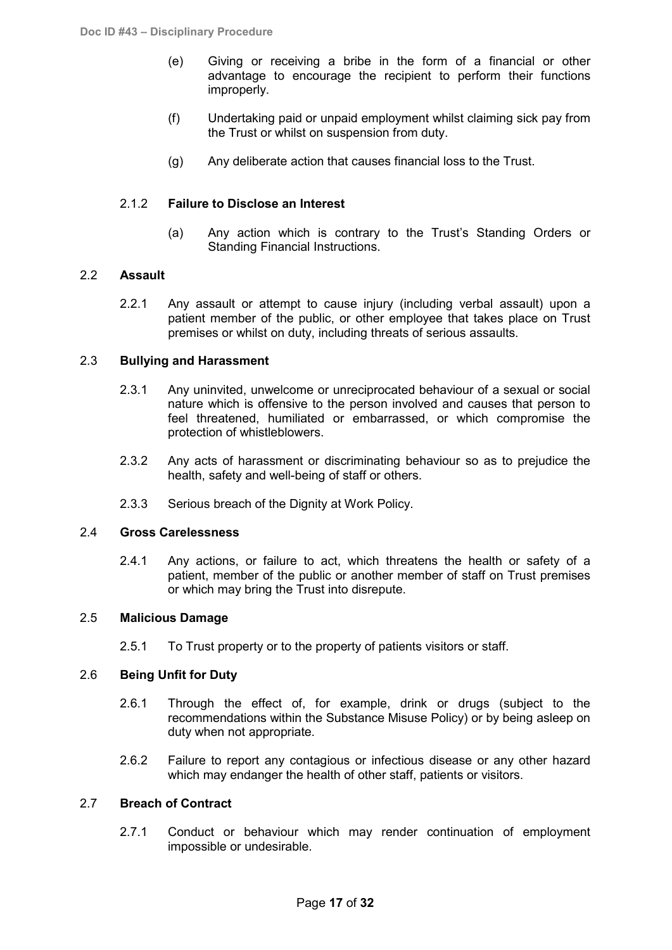- (e) Giving or receiving a bribe in the form of a financial or other advantage to encourage the recipient to perform their functions improperly.
- (f) Undertaking paid or unpaid employment whilst claiming sick pay from the Trust or whilst on suspension from duty.
- (g) Any deliberate action that causes financial loss to the Trust.

#### 2.1.2 **Failure to Disclose an Interest**

(a) Any action which is contrary to the Trust's Standing Orders or Standing Financial Instructions.

#### 2.2 **Assault**

2.2.1 Any assault or attempt to cause injury (including verbal assault) upon a patient member of the public, or other employee that takes place on Trust premises or whilst on duty, including threats of serious assaults.

#### 2.3 **Bullying and Harassment**

- 2.3.1 Any uninvited, unwelcome or unreciprocated behaviour of a sexual or social nature which is offensive to the person involved and causes that person to feel threatened, humiliated or embarrassed, or which compromise the protection of whistleblowers.
- 2.3.2 Any acts of harassment or discriminating behaviour so as to prejudice the health, safety and well-being of staff or others.
- 2.3.3 Serious breach of the Dignity at Work Policy.

#### 2.4 **Gross Carelessness**

2.4.1 Any actions, or failure to act, which threatens the health or safety of a patient, member of the public or another member of staff on Trust premises or which may bring the Trust into disrepute.

# 2.5 **Malicious Damage**

2.5.1 To Trust property or to the property of patients visitors or staff.

#### 2.6 **Being Unfit for Duty**

- 2.6.1 Through the effect of, for example, drink or drugs (subject to the recommendations within the Substance Misuse Policy) or by being asleep on duty when not appropriate.
- 2.6.2 Failure to report any contagious or infectious disease or any other hazard which may endanger the health of other staff, patients or visitors.

#### 2.7 **Breach of Contract**

2.7.1 Conduct or behaviour which may render continuation of employment impossible or undesirable.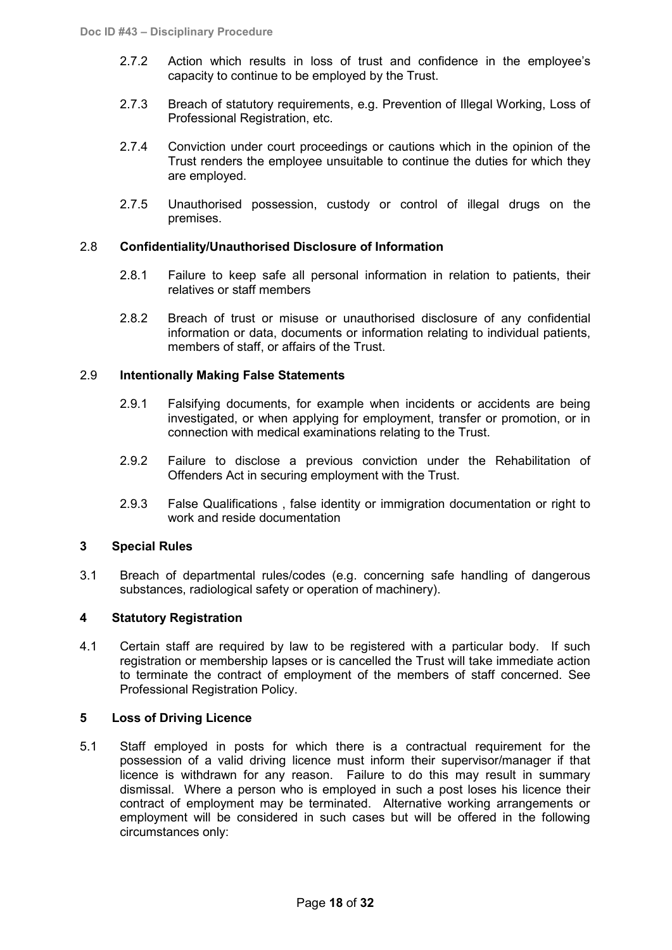- 2.7.2 Action which results in loss of trust and confidence in the employee's capacity to continue to be employed by the Trust.
- 2.7.3 Breach of statutory requirements, e.g. Prevention of Illegal Working, Loss of Professional Registration, etc.
- 2.7.4 Conviction under court proceedings or cautions which in the opinion of the Trust renders the employee unsuitable to continue the duties for which they are employed.
- 2.7.5 Unauthorised possession, custody or control of illegal drugs on the premises.

#### 2.8 **Confidentiality/Unauthorised Disclosure of Information**

- 2.8.1 Failure to keep safe all personal information in relation to patients, their relatives or staff members
- 2.8.2 Breach of trust or misuse or unauthorised disclosure of any confidential information or data, documents or information relating to individual patients, members of staff, or affairs of the Trust.

#### 2.9 **Intentionally Making False Statements**

- 2.9.1 Falsifying documents, for example when incidents or accidents are being investigated, or when applying for employment, transfer or promotion, or in connection with medical examinations relating to the Trust.
- 2.9.2 Failure to disclose a previous conviction under the Rehabilitation of Offenders Act in securing employment with the Trust.
- 2.9.3 False Qualifications , false identity or immigration documentation or right to work and reside documentation

#### **3 Special Rules**

3.1 Breach of departmental rules/codes (e.g. concerning safe handling of dangerous substances, radiological safety or operation of machinery).

# **4 Statutory Registration**

4.1 Certain staff are required by law to be registered with a particular body. If such registration or membership lapses or is cancelled the Trust will take immediate action to terminate the contract of employment of the members of staff concerned. See Professional Registration Policy.

#### **5 Loss of Driving Licence**

5.1 Staff employed in posts for which there is a contractual requirement for the possession of a valid driving licence must inform their supervisor/manager if that licence is withdrawn for any reason. Failure to do this may result in summary dismissal. Where a person who is employed in such a post loses his licence their contract of employment may be terminated. Alternative working arrangements or employment will be considered in such cases but will be offered in the following circumstances only: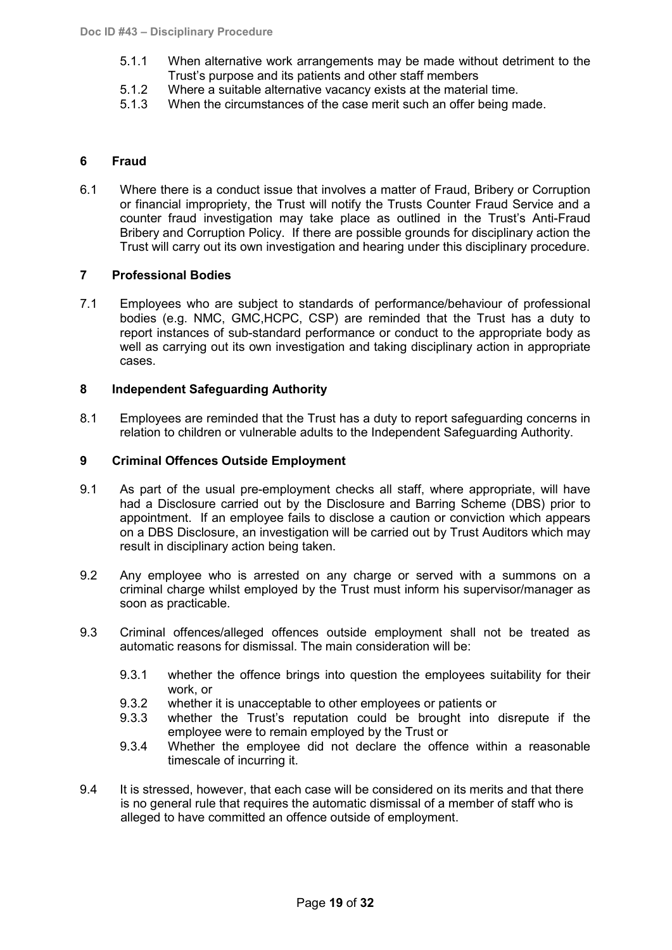- 5.1.1 When alternative work arrangements may be made without detriment to the Trust's purpose and its patients and other staff members
- 5.1.2 Where a suitable alternative vacancy exists at the material time.<br>5.1.3 When the circumstances of the case merit such an offer being m
- When the circumstances of the case merit such an offer being made.

#### **6 Fraud**

6.1 Where there is a conduct issue that involves a matter of Fraud, Bribery or Corruption or financial impropriety, the Trust will notify the Trusts Counter Fraud Service and a counter fraud investigation may take place as outlined in the Trust's Anti-Fraud Bribery and Corruption Policy. If there are possible grounds for disciplinary action the Trust will carry out its own investigation and hearing under this disciplinary procedure.

#### **7 Professional Bodies**

7.1 Employees who are subject to standards of performance/behaviour of professional bodies (e.g. NMC, GMC,HCPC, CSP) are reminded that the Trust has a duty to report instances of sub-standard performance or conduct to the appropriate body as well as carrying out its own investigation and taking disciplinary action in appropriate cases.

#### **8 Independent Safeguarding Authority**

8.1 Employees are reminded that the Trust has a duty to report safeguarding concerns in relation to children or vulnerable adults to the Independent Safeguarding Authority.

#### **9 Criminal Offences Outside Employment**

- 9.1 As part of the usual pre-employment checks all staff, where appropriate, will have had a Disclosure carried out by the Disclosure and Barring Scheme (DBS) prior to appointment. If an employee fails to disclose a caution or conviction which appears on a DBS Disclosure, an investigation will be carried out by Trust Auditors which may result in disciplinary action being taken.
- 9.2 Any employee who is arrested on any charge or served with a summons on a criminal charge whilst employed by the Trust must inform his supervisor/manager as soon as practicable.
- 9.3 Criminal offences/alleged offences outside employment shall not be treated as automatic reasons for dismissal. The main consideration will be:
	- 9.3.1 whether the offence brings into question the employees suitability for their work, or
	- 9.3.2 whether it is unacceptable to other employees or patients or 9.3.3 whether the Trust's reputation could be brought into
	- whether the Trust's reputation could be brought into disrepute if the employee were to remain employed by the Trust or
	- 9.3.4 Whether the employee did not declare the offence within a reasonable timescale of incurring it.
- 9.4 It is stressed, however, that each case will be considered on its merits and that there is no general rule that requires the automatic dismissal of a member of staff who is alleged to have committed an offence outside of employment.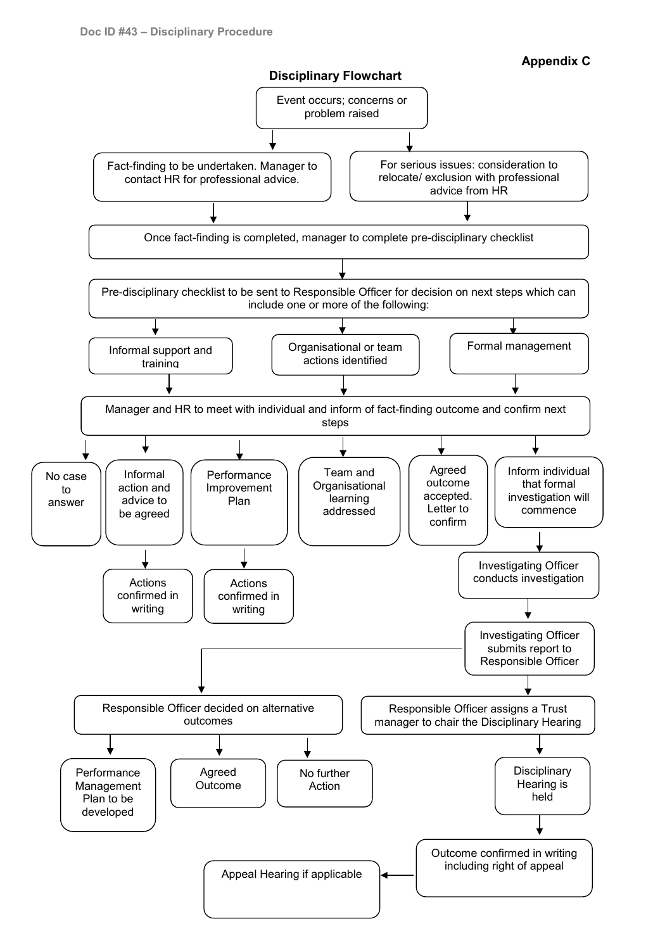

<span id="page-19-0"></span>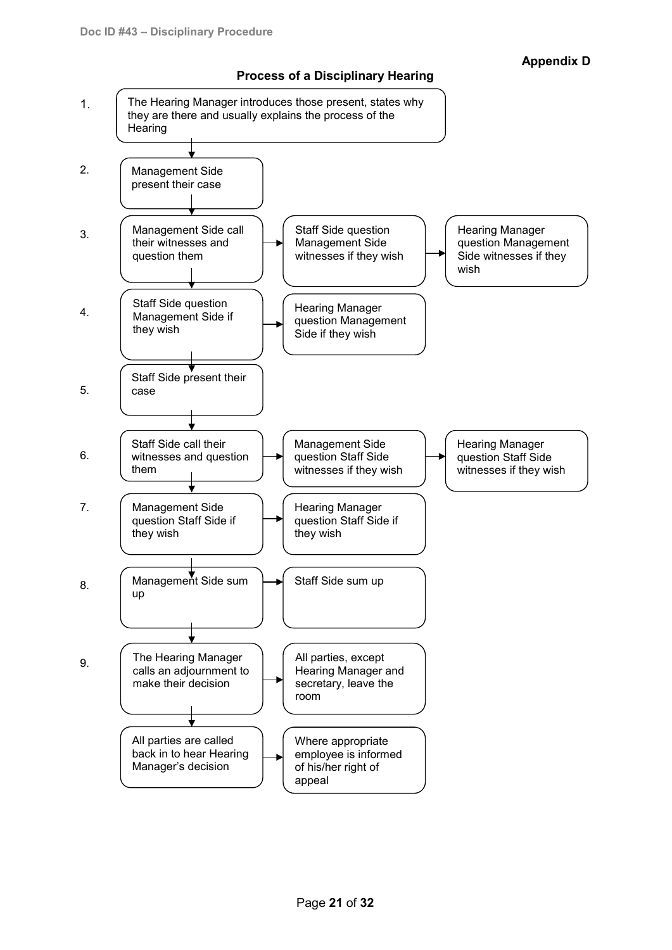

# <span id="page-20-0"></span>**Process of a Disciplinary Hearing**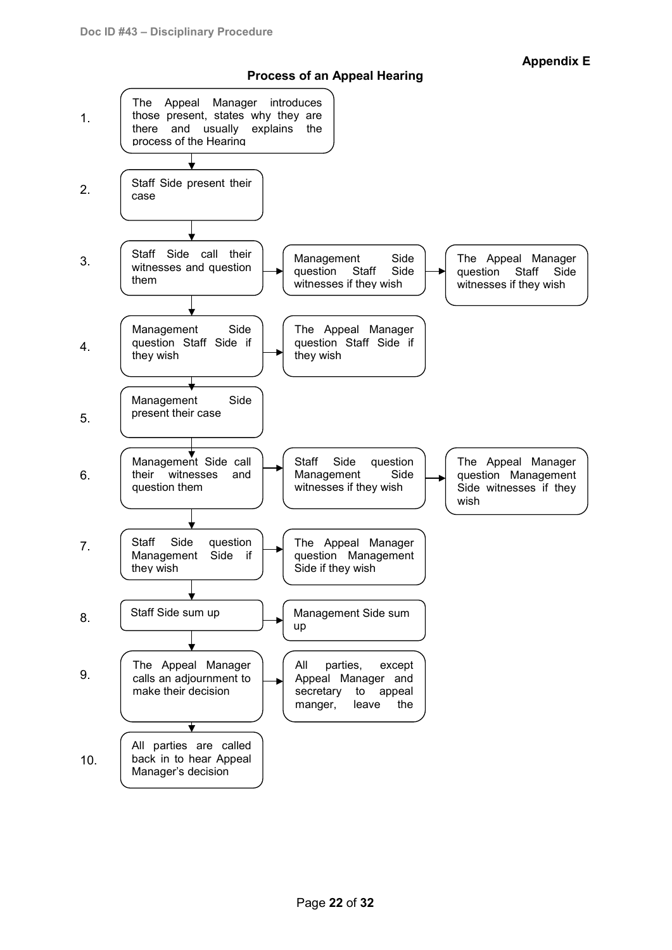**Appendix E**

<span id="page-21-0"></span>

**Process of an Appeal Hearing**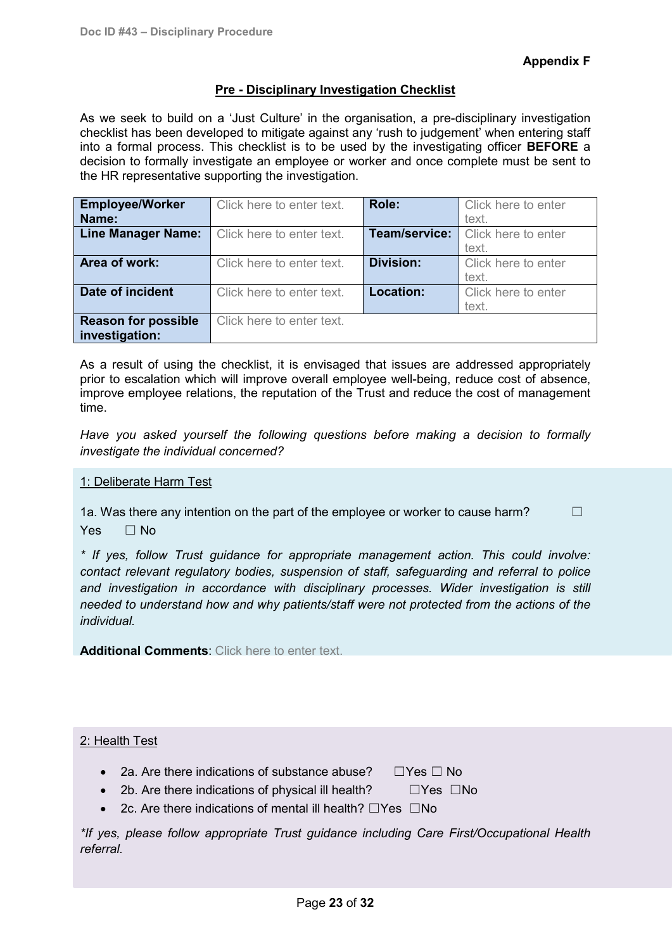# **Pre - Disciplinary Investigation Checklist**

<span id="page-22-0"></span>As we seek to build on a 'Just Culture' in the organisation, a pre-disciplinary investigation checklist has been developed to mitigate against any 'rush to judgement' when entering staff into a formal process. This checklist is to be used by the investigating officer **BEFORE** a decision to formally investigate an employee or worker and once complete must be sent to the HR representative supporting the investigation.

| <b>Employee/Worker</b>     | Click here to enter text. | Role:            | Click here to enter |
|----------------------------|---------------------------|------------------|---------------------|
| Name:                      |                           |                  | text.               |
| <b>Line Manager Name:</b>  | Click here to enter text. | Team/service:    | Click here to enter |
|                            |                           |                  | text.               |
| Area of work:              | Click here to enter text. | <b>Division:</b> | Click here to enter |
|                            |                           |                  | text.               |
| Date of incident           | Click here to enter text. | Location:        | Click here to enter |
|                            |                           |                  | text.               |
| <b>Reason for possible</b> | Click here to enter text. |                  |                     |
| investigation:             |                           |                  |                     |

As a result of using the checklist, it is envisaged that issues are addressed appropriately prior to escalation which will improve overall employee well-being, reduce cost of absence, improve employee relations, the reputation of the Trust and reduce the cost of management time.

*Have you asked yourself the following questions before making a decision to formally investigate the individual concerned?*

#### 1: Deliberate Harm Test

1a. Was there any intention on the part of the employee or worker to cause harm?  $\Box$ Yes □ No

*\* If yes, follow Trust guidance for appropriate management action. This could involve: contact relevant regulatory bodies, suspension of staff, safeguarding and referral to police and investigation in accordance with disciplinary processes. Wider investigation is still needed to understand how and why patients/staff were not protected from the actions of the individual.*

**Additional Comments**: Click here to enter text.

#### 2: Health Test

- 2a. Are there indications of substance abuse? □Yes □ No
- 
- 2b. Are there indications of physical ill health? □Yes □No
- 2c. Are there indications of mental ill health? ☐Yes ☐No

*\*If yes, please follow appropriate Trust guidance including Care First/Occupational Health referral.*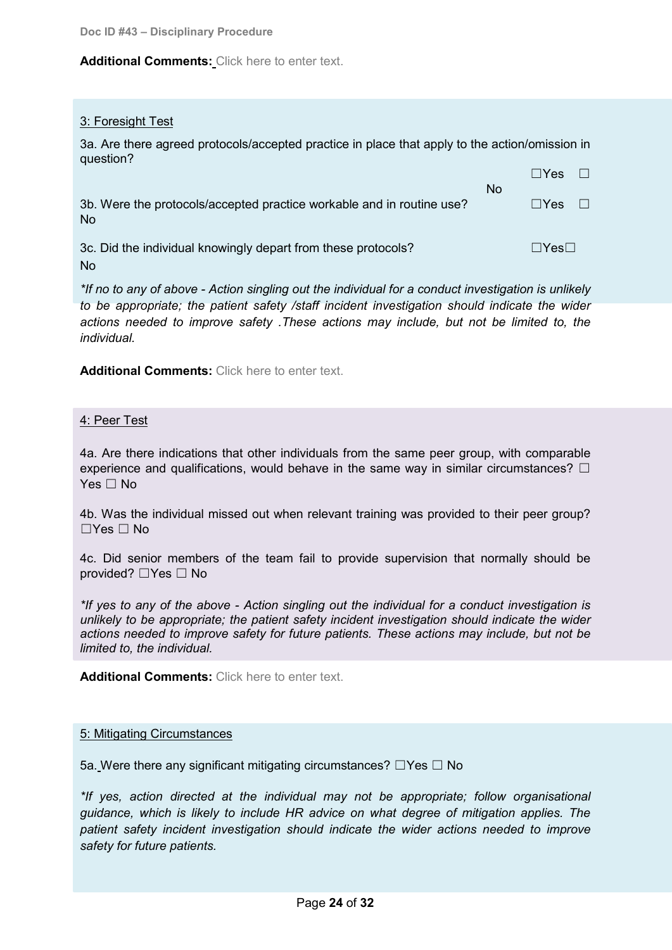#### **Additional Comments:** Click here to enter text.

#### 3: Foresight Test

3a. Are there agreed protocols/accepted practice in place that apply to the action/omission in question?

|                                                                                    | No. | $\Box$ Yes        | $\Box$ |
|------------------------------------------------------------------------------------|-----|-------------------|--------|
| 3b. Were the protocols/accepted practice workable and in routine use?<br><b>No</b> |     | l lYes            | $\Box$ |
| 3c. Did the individual knowingly depart from these protocols?<br>No.               |     | $\Box$ Yes $\Box$ |        |

*\*If no to any of above - Action singling out the individual for a conduct investigation is unlikely to be appropriate; the patient safety /staff incident investigation should indicate the wider actions needed to improve safety .These actions may include, but not be limited to, the individual.*

**Additional Comments:** Click here to enter text.

#### 4: Peer Test

4a. Are there indications that other individuals from the same peer group, with comparable experience and qualifications, would behave in the same way in similar circumstances?  $\Box$ Yes □ No

4b. Was the individual missed out when relevant training was provided to their peer group?  $\Box$ Yes  $\Box$  No

4c. Did senior members of the team fail to provide supervision that normally should be provided? ☐Yes ☐ No

*\*If yes to any of the above - Action singling out the individual for a conduct investigation is unlikely to be appropriate; the patient safety incident investigation should indicate the wider actions needed to improve safety for future patients. These actions may include, but not be limited to, the individual.*

**Additional Comments:** Click here to enter text.

#### 5: Mitigating Circumstances

5a. Were there any significant mitigating circumstances? □Yes □ No

*\*If yes, action directed at the individual may not be appropriate; follow organisational guidance, which is likely to include HR advice on what degree of mitigation applies. The patient safety incident investigation should indicate the wider actions needed to improve safety for future patients.*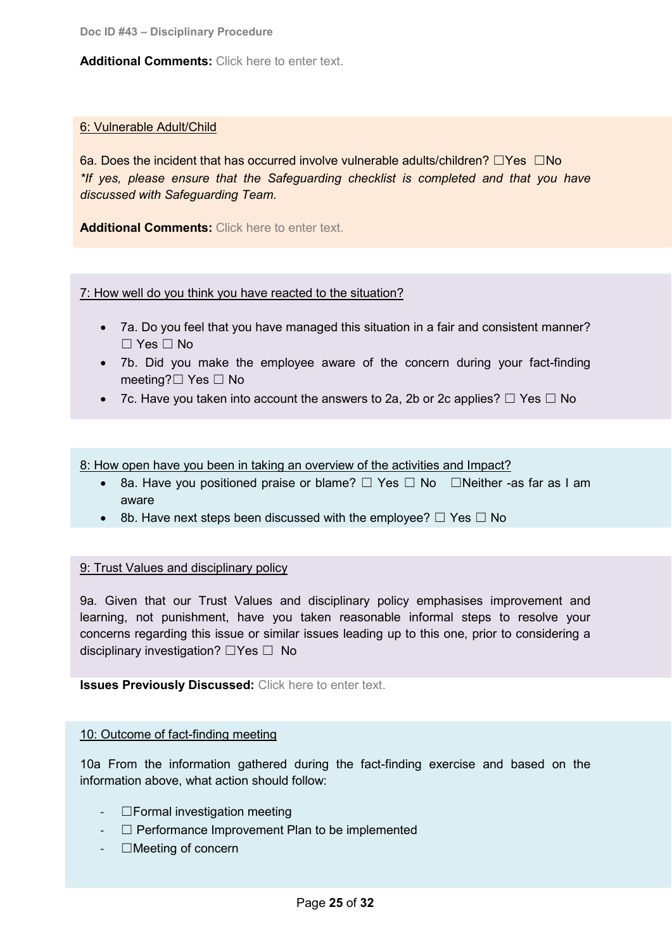#### **Additional Comments:** Click here to enter text.

#### 6: Vulnerable Adult/Child

6a. Does the incident that has occurred involve vulnerable adults/children? ☐Yes ☐No *\*If yes, please ensure that the Safeguarding checklist is completed and that you have discussed with Safeguarding Team.*

**Additional Comments:** Click here to enter text.

# 7: How well do you think you have reacted to the situation?

- 7a. Do you feel that you have managed this situation in a fair and consistent manner? ☐ Yes ☐ No
- 7b. Did you make the employee aware of the concern during your fact-finding meeting?☐ Yes ☐ No
- 7c. Have you taken into account the answers to 2a, 2b or 2c applies?  $\Box$  Yes  $\Box$  No

8: How open have you been in taking an overview of the activities and Impact?

- 8a. Have you positioned praise or blame?  $□$  Yes  $□$  No  $□$ Neither -as far as I am aware
- 8b. Have next steps been discussed with the employee?  $\Box$  Yes  $\Box$  No

#### 9: Trust Values and disciplinary policy

9a. Given that our Trust Values and disciplinary policy emphasises improvement and learning, not punishment, have you taken reasonable informal steps to resolve your concerns regarding this issue or similar issues leading up to this one, prior to considering a disciplinary investigation? ☐Yes ☐ No

**Issues Previously Discussed:** Click here to enter text.

#### 10: Outcome of fact-finding meeting

10a From the information gathered during the fact-finding exercise and based on the information above, what action should follow:

- ☐Formal investigation meeting
- ☐ Performance Improvement Plan to be implemented
- ☐Meeting of concern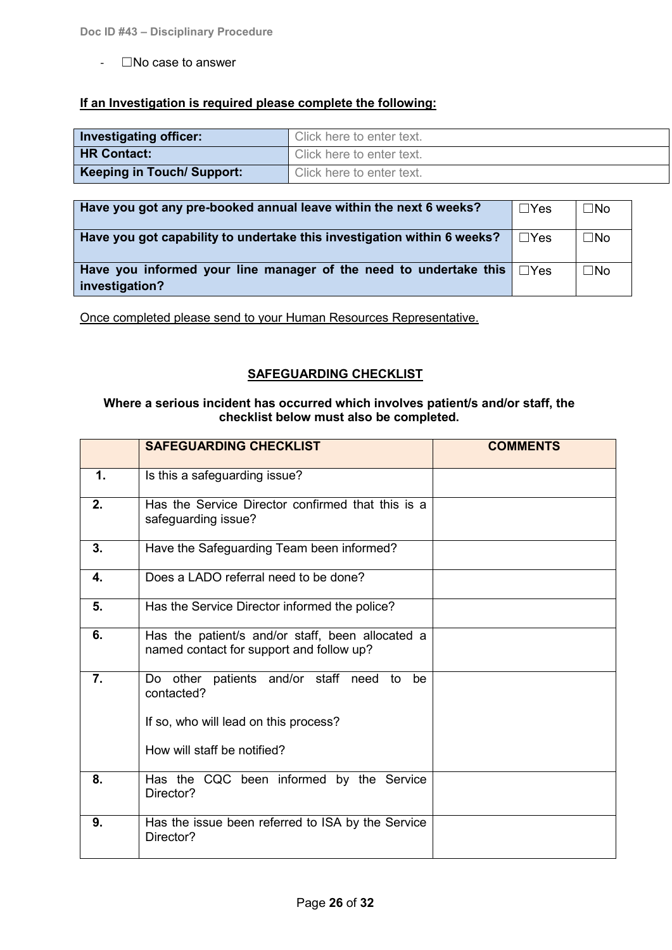$-I$ No case to answer

# **If an Investigation is required please complete the following:**

| <b>Investigating officer:</b>     | Click here to enter text. |
|-----------------------------------|---------------------------|
| <b>HR Contact:</b>                | Click here to enter text. |
| <b>Keeping in Touch/ Support:</b> | Click here to enter text. |

| Have you got any pre-booked annual leave within the next 6 weeks?                              | ⊩⊟Yes      | $\square$ No |
|------------------------------------------------------------------------------------------------|------------|--------------|
| Have you got capability to undertake this investigation within 6 weeks?                        | $\Box$ Yes | $\square$ No |
| Have you informed your line manager of the need to undertake this $\Box$ Yes<br>investigation? |            | $\square$ No |

Once completed please send to your Human Resources Representative.

# **SAFEGUARDING CHECKLIST**

#### **Where a serious incident has occurred which involves patient/s and/or staff, the checklist below must also be completed.**

|    | <b>SAFEGUARDING CHECKLIST</b>                                                                | <b>COMMENTS</b> |
|----|----------------------------------------------------------------------------------------------|-----------------|
| 1. | Is this a safeguarding issue?                                                                |                 |
| 2. | Has the Service Director confirmed that this is a<br>safeguarding issue?                     |                 |
| 3. | Have the Safeguarding Team been informed?                                                    |                 |
| 4. | Does a LADO referral need to be done?                                                        |                 |
| 5. | Has the Service Director informed the police?                                                |                 |
| 6. | Has the patient/s and/or staff, been allocated a<br>named contact for support and follow up? |                 |
| 7. | patients and/or staff need<br>Do other<br>to<br>be<br>contacted?                             |                 |
|    | If so, who will lead on this process?                                                        |                 |
|    | How will staff be notified?                                                                  |                 |
| 8. | Has the CQC been informed by the Service<br>Director?                                        |                 |
| 9. | Has the issue been referred to ISA by the Service<br>Director?                               |                 |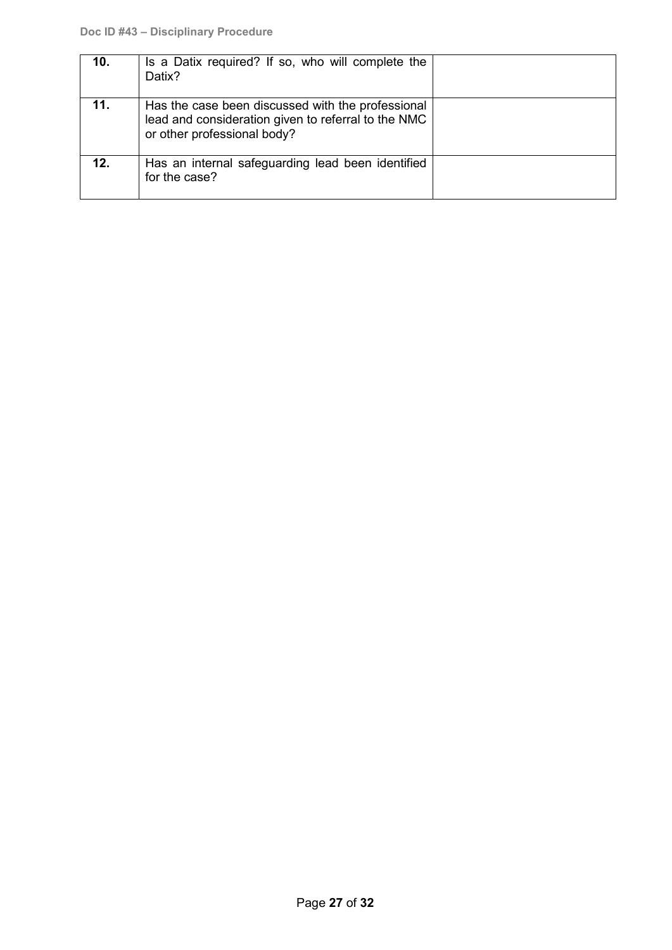| 10. | Is a Datix required? If so, who will complete the<br>Datix?                                                                             |  |
|-----|-----------------------------------------------------------------------------------------------------------------------------------------|--|
| 11. | Has the case been discussed with the professional<br>lead and consideration given to referral to the NMC<br>or other professional body? |  |
| 12. | Has an internal safeguarding lead been identified<br>for the case?                                                                      |  |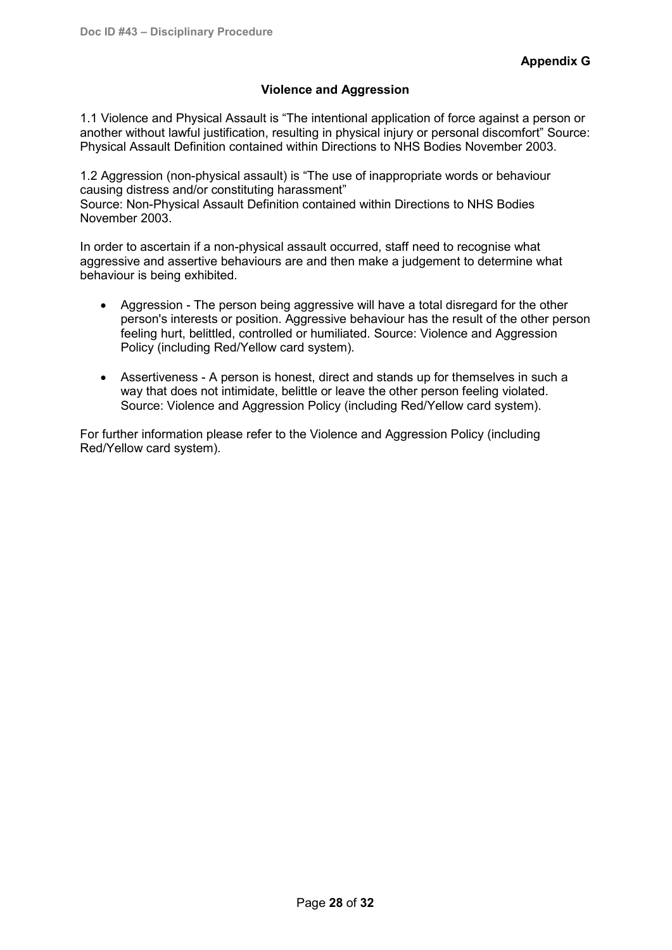# **Violence and Aggression**

1.1 Violence and Physical Assault is "The intentional application of force against a person or another without lawful justification, resulting in physical injury or personal discomfort" Source: Physical Assault Definition contained within Directions to NHS Bodies November 2003.

1.2 Aggression (non-physical assault) is "The use of inappropriate words or behaviour causing distress and/or constituting harassment" Source: Non-Physical Assault Definition contained within Directions to NHS Bodies November 2003.

In order to ascertain if a non-physical assault occurred, staff need to recognise what aggressive and assertive behaviours are and then make a judgement to determine what behaviour is being exhibited.

- Aggression The person being aggressive will have a total disregard for the other person's interests or position. Aggressive behaviour has the result of the other person feeling hurt, belittled, controlled or humiliated. Source: Violence and Aggression Policy (including Red/Yellow card system).
- Assertiveness A person is honest, direct and stands up for themselves in such a way that does not intimidate, belittle or leave the other person feeling violated. Source: Violence and Aggression Policy (including Red/Yellow card system).

For further information please refer to the Violence and Aggression Policy (including Red/Yellow card system).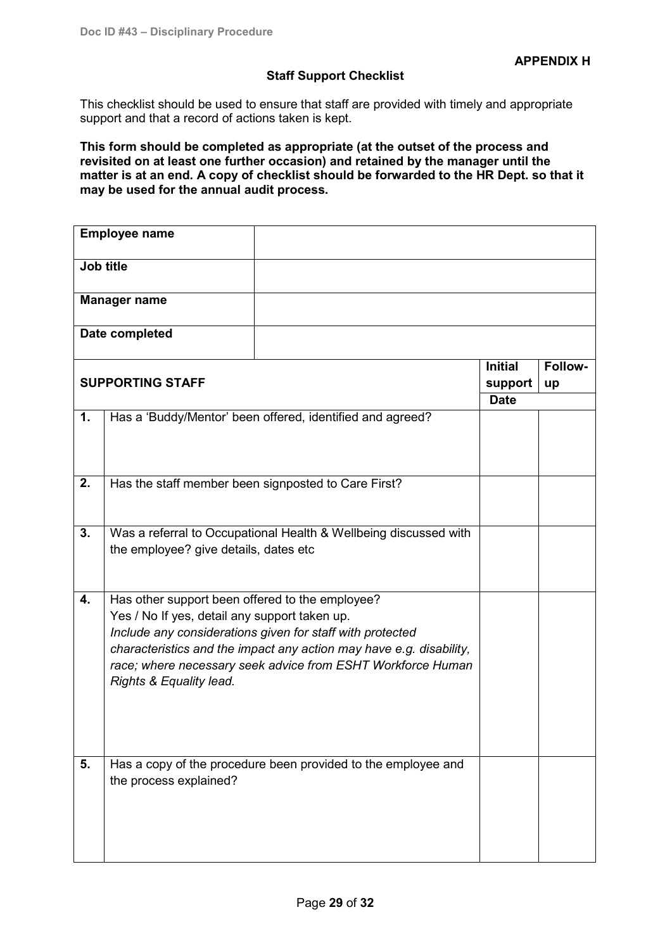#### **Staff Support Checklist**

<span id="page-28-0"></span>This checklist should be used to ensure that staff are provided with timely and appropriate support and that a record of actions taken is kept.

**This form should be completed as appropriate (at the outset of the process and revisited on at least one further occasion) and retained by the manager until the matter is at an end. A copy of checklist should be forwarded to the HR Dept. so that it may be used for the annual audit process.**

|                         | <b>Employee name</b>                                                                                                                                                                                                                                                                                                           |                                                               |                           |               |
|-------------------------|--------------------------------------------------------------------------------------------------------------------------------------------------------------------------------------------------------------------------------------------------------------------------------------------------------------------------------|---------------------------------------------------------------|---------------------------|---------------|
| Job title               |                                                                                                                                                                                                                                                                                                                                |                                                               |                           |               |
| <b>Manager name</b>     |                                                                                                                                                                                                                                                                                                                                |                                                               |                           |               |
| Date completed          |                                                                                                                                                                                                                                                                                                                                |                                                               |                           |               |
| <b>SUPPORTING STAFF</b> |                                                                                                                                                                                                                                                                                                                                |                                                               | <b>Initial</b><br>support | Follow-<br>up |
|                         |                                                                                                                                                                                                                                                                                                                                |                                                               | <b>Date</b>               |               |
| 1.                      |                                                                                                                                                                                                                                                                                                                                | Has a 'Buddy/Mentor' been offered, identified and agreed?     |                           |               |
| 2.                      | Has the staff member been signposted to Care First?                                                                                                                                                                                                                                                                            |                                                               |                           |               |
| 3.                      | Was a referral to Occupational Health & Wellbeing discussed with<br>the employee? give details, dates etc                                                                                                                                                                                                                      |                                                               |                           |               |
| 4.                      | Has other support been offered to the employee?<br>Yes / No If yes, detail any support taken up.<br>Include any considerations given for staff with protected<br>characteristics and the impact any action may have e.g. disability,<br>race; where necessary seek advice from ESHT Workforce Human<br>Rights & Equality lead. |                                                               |                           |               |
| 5.                      | the process explained?                                                                                                                                                                                                                                                                                                         | Has a copy of the procedure been provided to the employee and |                           |               |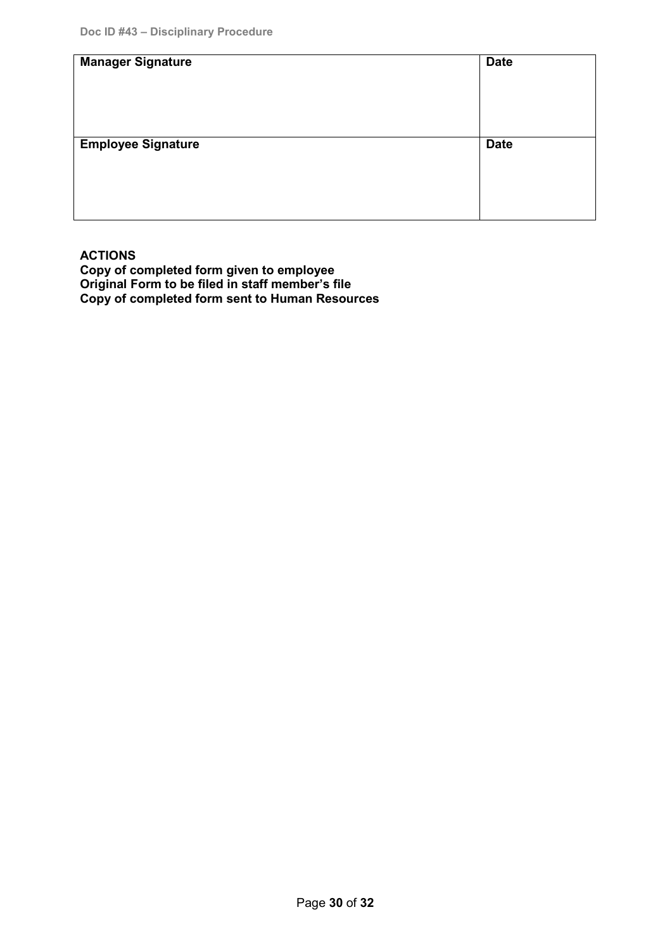| <b>Manager Signature</b>  | <b>Date</b> |
|---------------------------|-------------|
| <b>Employee Signature</b> | <b>Date</b> |

# **ACTIONS**

**Copy of completed form given to employee Original Form to be filed in staff member's file Copy of completed form sent to Human Resources**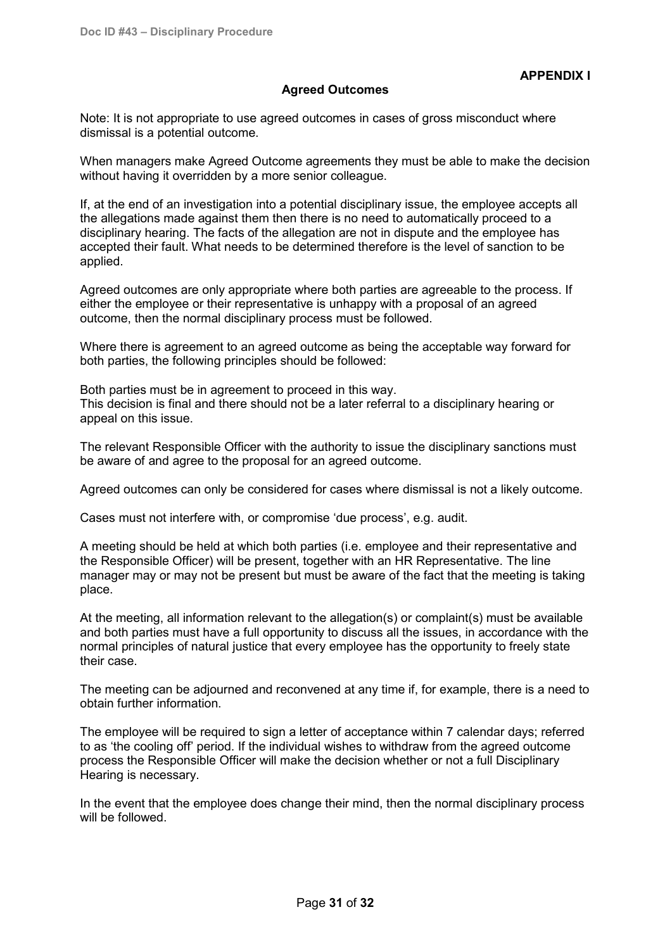# <span id="page-30-0"></span>**Agreed Outcomes**

Note: It is not appropriate to use agreed outcomes in cases of gross misconduct where dismissal is a potential outcome.

When managers make Agreed Outcome agreements they must be able to make the decision without having it overridden by a more senior colleague.

If, at the end of an investigation into a potential disciplinary issue, the employee accepts all the allegations made against them then there is no need to automatically proceed to a disciplinary hearing. The facts of the allegation are not in dispute and the employee has accepted their fault. What needs to be determined therefore is the level of sanction to be applied.

Agreed outcomes are only appropriate where both parties are agreeable to the process. If either the employee or their representative is unhappy with a proposal of an agreed outcome, then the normal disciplinary process must be followed.

Where there is agreement to an agreed outcome as being the acceptable way forward for both parties, the following principles should be followed:

Both parties must be in agreement to proceed in this way. This decision is final and there should not be a later referral to a disciplinary hearing or appeal on this issue.

The relevant Responsible Officer with the authority to issue the disciplinary sanctions must be aware of and agree to the proposal for an agreed outcome.

Agreed outcomes can only be considered for cases where dismissal is not a likely outcome.

Cases must not interfere with, or compromise 'due process', e.g. audit.

A meeting should be held at which both parties (i.e. employee and their representative and the Responsible Officer) will be present, together with an HR Representative. The line manager may or may not be present but must be aware of the fact that the meeting is taking place.

At the meeting, all information relevant to the allegation(s) or complaint(s) must be available and both parties must have a full opportunity to discuss all the issues, in accordance with the normal principles of natural justice that every employee has the opportunity to freely state their case.

The meeting can be adjourned and reconvened at any time if, for example, there is a need to obtain further information.

The employee will be required to sign a letter of acceptance within 7 calendar days; referred to as 'the cooling off' period. If the individual wishes to withdraw from the agreed outcome process the Responsible Officer will make the decision whether or not a full Disciplinary Hearing is necessary.

In the event that the employee does change their mind, then the normal disciplinary process will be followed.